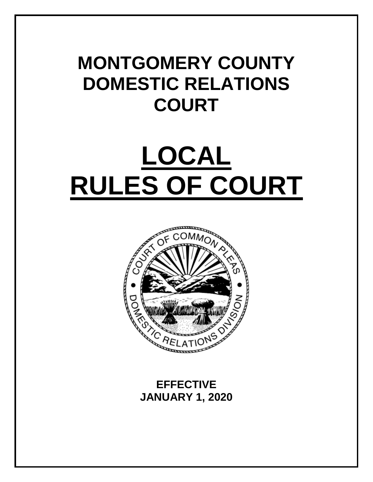# **MONTGOMERY COUNTY DOMESTIC RELATIONS COURT**

# **LOCAL RULES OF COURT**



**EFFECTIVE JANUARY 1, 2020**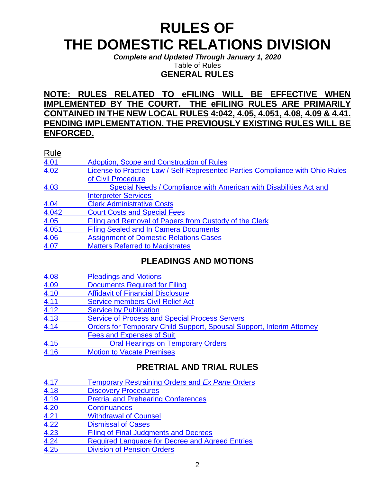# **RULES OF THE DOMESTIC RELATIONS DIVISION**

*Complete and Updated Through January 1, 2020* Table of Rules

**GENERAL RULES**

# **NOTE: RULES RELATED TO eFILING WILL BE EFFECTIVE WHEN IMPLEMENTED BY THE COURT. THE eFILING RULES ARE PRIMARILY CONTAINED IN THE NEW LOCAL RULES 4:042, 4.05, 4.051, 4.08, 4.09 & 4.41. PENDING IMPLEMENTATION, THE PREVIOUSLY EXISTING RULES WILL BE ENFORCED.**

| <b>Rule</b> |                                                                               |
|-------------|-------------------------------------------------------------------------------|
| 4.01        | Adoption, Scope and Construction of Rules                                     |
| 4.02        | License to Practice Law / Self-Represented Parties Compliance with Ohio Rules |
|             | of Civil Procedure                                                            |
| 4.03        | Special Needs / Compliance with American with Disabilities Act and            |
|             | <b>Interpreter Services</b>                                                   |
| 4.04        | <b>Clerk Administrative Costs</b>                                             |
| 4.042       | <b>Court Costs and Special Fees</b>                                           |
| 4.05        | Filing and Removal of Papers from Custody of the Clerk                        |
| 4.051       | <b>Filing Sealed and In Camera Documents</b>                                  |
| 4.06        | <b>Assignment of Domestic Relations Cases</b>                                 |
| 4.07        | <b>Matters Referred to Magistrates</b>                                        |

# **PLEADINGS AND MOTIONS**

| <b>FLEADINGS AND MUTIONS</b>                                                 |
|------------------------------------------------------------------------------|
| <b>Pleadings and Motions</b>                                                 |
| <b>Documents Required for Filing</b>                                         |
| <b>Affidavit of Financial Disclosure</b>                                     |
| <b>Service members Civil Relief Act</b>                                      |
| <b>Service by Publication</b>                                                |
| <b>Service of Process and Special Process Servers</b>                        |
| <b>Orders for Temporary Child Support, Spousal Support, Interim Attorney</b> |
| <b>Fees and Expenses of Suit</b>                                             |
|                                                                              |

- 4.15 [Oral Hearings on Temporary Orders](#page-27-0)
- 4.16 [Motion to Vacate Premises](#page-28-0)

# **PRETRIAL AND TRIAL RULES**

| 4.17 | Temporary Restraining Orders and Ex Parte Orders |  |
|------|--------------------------------------------------|--|
| 4.18 | <b>Discovery Procedures</b>                      |  |
| 4.19 | <b>Pretrial and Prehearing Conferences</b>       |  |
| 4.20 | <b>Continuances</b>                              |  |
| 4.21 | <b>Withdrawal of Counsel</b>                     |  |
| 4.22 | <b>Dismissal of Cases</b>                        |  |
| 4.23 | <b>Filing of Final Judgments and Decrees</b>     |  |
| 4.24 | Required Language for Decree and Agreed Entries  |  |
| 4.25 | <b>Division of Pension Orders</b>                |  |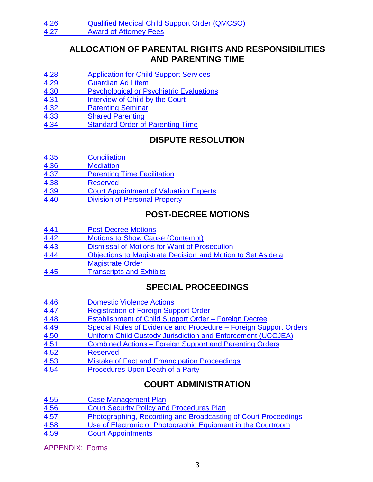# **ALLOCATION OF PARENTAL RIGHTS AND RESPONSIBILITIES AND PARENTING TIME**

- 4.28 Application for Child Support Services
- 4.29 [Guardian Ad Litem](#page-48-0)
- 4.30 [Psychological or Psychiatric Evaluations](#page-48-1)
- 4.31 [Interview of Child by the Court](#page-49-0)
- 4.32 [Parenting Seminar](#page-49-1)
- 4.33 [Shared Parenting](#page-49-2)
- 4.34 [Standard Order of Parenting Time](#page-51-0)

# **DISPUTE RESOLUTION**

- 4.35 [Conciliation](#page-51-1)
- 4.36 [Mediation](#page-51-2)
- 4.37 [Parenting Time Facilitation](#page-57-0)
- 4.38 [Reserved](#page-57-1)
- 4.39 [Court Appointment of Valuation Experts](#page-57-2)
- 4.40 Division [of Personal Property](#page-57-3)

# **POST-DECREE MOTIONS**

| <b>Post-Decree Motions</b> |  |
|----------------------------|--|
|----------------------------|--|

- 4.42 Motions to [Show Cause \(Contempt\)](#page-60-0)
- 4.43 [Dismissal of Motions for Want of Prosecution](#page-61-0)
- 4.44 Objections to Magistrate Decision [and Motion to Set Aside a](#page-61-1) [Magistrate](#page-61-1) Order
- 4.45 [Transcripts and Exhibits](#page-63-0)

# **SPECIAL PROCEEDINGS**

| 4.46 | <b>Domestic Violence Actions</b>                                 |
|------|------------------------------------------------------------------|
| 4.47 | <b>Registration of Foreign Support Order</b>                     |
| 4.48 | Establishment of Child Support Order - Foreign Decree            |
| 4.49 | Special Rules of Evidence and Procedure – Foreign Support Orders |
| 4.50 | Uniform Child Custody Jurisdiction and Enforcement (UCCJEA)      |
| 4.51 | <b>Combined Actions - Foreign Support and Parenting Orders</b>   |
| 4.52 | <b>Reserved</b>                                                  |
| 4.53 | <b>Mistake of Fact and Emancipation Proceedings</b>              |
| 4.54 | Procedures Upon Death of a Party                                 |

# **COURT ADMINISTRATION**

| 4.55 | <b>Case Management Plan</b>                                    |
|------|----------------------------------------------------------------|
| 4.56 | <b>Court Security Policy and Procedures Plan</b>               |
| 4.57 | Photographing, Recording and Broadcasting of Court Proceedings |
| 4.58 | Use of Electronic or Photographic Equipment in the Courtroom   |
| 4.59 | <b>Court Appointments</b>                                      |

[APPENDIX: Forms](#page-74-0)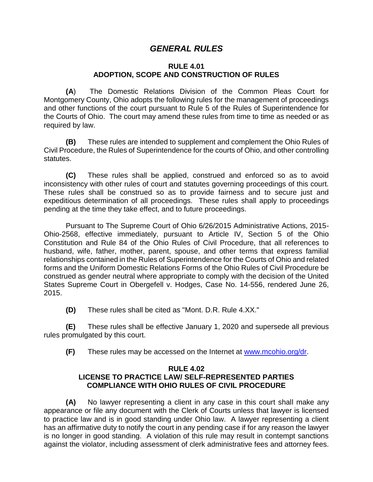# *GENERAL RULES*

#### **RULE 4.01 ADOPTION, SCOPE AND CONSTRUCTION OF RULES**

<span id="page-3-0"></span>**(A**) The Domestic Relations Division of the Common Pleas Court for Montgomery County, Ohio adopts the following rules for the management of proceedings and other functions of the court pursuant to Rule 5 of the Rules of Superintendence for the Courts of Ohio. The court may amend these rules from time to time as needed or as required by law.

**(B)** These rules are intended to supplement and complement the Ohio Rules of Civil Procedure, the Rules of Superintendence for the courts of Ohio, and other controlling statutes.

**(C)** These rules shall be applied, construed and enforced so as to avoid inconsistency with other rules of court and statutes governing proceedings of this court. These rules shall be construed so as to provide fairness and to secure just and expeditious determination of all proceedings. These rules shall apply to proceedings pending at the time they take effect, and to future proceedings.

Pursuant to The Supreme Court of Ohio 6/26/2015 Administrative Actions, 2015- Ohio-2568, effective immediately, pursuant to Article IV, Section 5 of the Ohio Constitution and Rule 84 of the Ohio Rules of Civil Procedure, that all references to husband, wife, father, mother, parent, spouse, and other terms that express familial relationships contained in the Rules of Superintendence for the Courts of Ohio and related forms and the Uniform Domestic Relations Forms of the Ohio Rules of Civil Procedure be construed as gender neutral where appropriate to comply with the decision of the United States Supreme Court in Obergefell v. Hodges, Case No. 14-556, rendered June 26, 2015.

**(D)** These rules shall be cited as "Mont. D.R. Rule 4.XX."

**(E)** These rules shall be effective January 1, 2020 and supersede all previous rules promulgated by this court.

**(F)** These rules may be accessed on the Internet at [www.mcohio.org/dr.](http://www.mcohio.org/dr)

#### <span id="page-3-1"></span>**RULE 4.02**

#### **LICENSE TO PRACTICE LAW/ SELF-REPRESENTED PARTIES COMPLIANCE WITH OHIO RULES OF CIVIL PROCEDURE**

**(A)** No lawyer representing a client in any case in this court shall make any appearance or file any document with the Clerk of Courts unless that lawyer is licensed to practice law and is in good standing under Ohio law. A lawyer representing a client has an affirmative duty to notify the court in any pending case if for any reason the lawyer is no longer in good standing. A violation of this rule may result in contempt sanctions against the violator, including assessment of clerk administrative fees and attorney fees.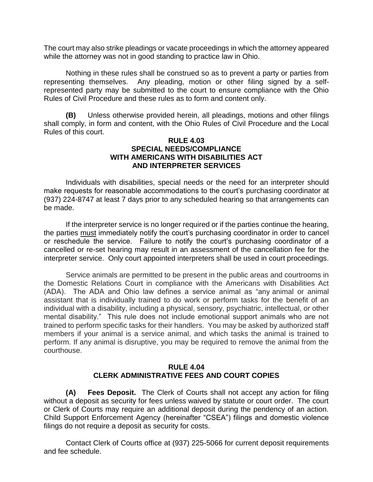The court may also strike pleadings or vacate proceedings in which the attorney appeared while the attorney was not in good standing to practice law in Ohio.

Nothing in these rules shall be construed so as to prevent a party or parties from representing themselves. Any pleading, motion or other filing signed by a selfrepresented party may be submitted to the court to ensure compliance with the Ohio Rules of Civil Procedure and these rules as to form and content only.

<span id="page-4-0"></span>**(B)** Unless otherwise provided herein, all pleadings, motions and other filings shall comply, in form and content, with the Ohio Rules of Civil Procedure and the Local Rules of this court.

#### **RULE 4.03 SPECIAL NEEDS/COMPLIANCE WITH AMERICANS WITH DISABILITIES ACT AND INTERPRETER SERVICES**

Individuals with disabilities, special needs or the need for an interpreter should make requests for reasonable accommodations to the court's purchasing coordinator at (937) 224-8747 at least 7 days prior to any scheduled hearing so that arrangements can be made.

If the interpreter service is no longer required or if the parties continue the hearing, the parties must immediately notify the court's purchasing coordinator in order to cancel or reschedule the service. Failure to notify the court's purchasing coordinator of a cancelled or re-set hearing may result in an assessment of the cancellation fee for the interpreter service. Only court appointed interpreters shall be used in court proceedings.

Service animals are permitted to be present in the public areas and courtrooms in the Domestic Relations Court in compliance with the Americans with Disabilities Act (ADA). The ADA and Ohio law defines a service animal as "any animal or animal assistant that is individually trained to do work or perform tasks for the benefit of an individual with a disability, including a physical, sensory, psychiatric, intellectual, or other mental disability." This rule does not include emotional support animals who are not trained to perform specific tasks for their handlers. You may be asked by authorized staff members if your animal is a service animal, and which tasks the animal is trained to perform. If any animal is disruptive, you may be required to remove the animal from the courthouse.

#### **RULE 4.04 CLERK ADMINISTRATIVE FEES AND COURT COPIES**

<span id="page-4-1"></span>**(A) Fees Deposit.** The Clerk of Courts shall not accept any action for filing without a deposit as security for fees unless waived by statute or court order. The court or Clerk of Courts may require an additional deposit during the pendency of an action. Child Support Enforcement Agency (hereinafter "CSEA") filings and domestic violence filings do not require a deposit as security for costs.

Contact Clerk of Courts office at (937) 225-5066 for current deposit requirements and fee schedule.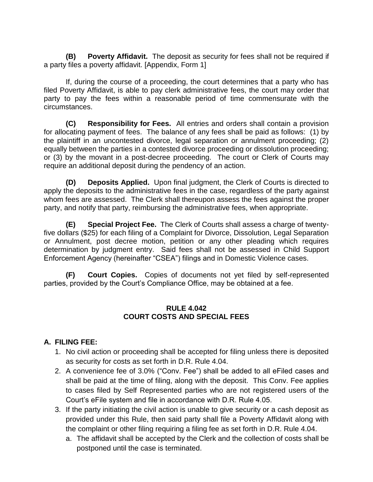**(B) Poverty Affidavit.**The deposit as security for fees shall not be required if a party files a poverty affidavit. [Appendix, Form 1]

If, during the course of a proceeding, the court determines that a party who has filed Poverty Affidavit, is able to pay clerk administrative fees, the court may order that party to pay the fees within a reasonable period of time commensurate with the circumstances.

**(C) Responsibility for Fees.** All entries and orders shall contain a provision for allocating payment of fees. The balance of any fees shall be paid as follows: (1) by the plaintiff in an uncontested divorce, legal separation or annulment proceeding; (2) equally between the parties in a contested divorce proceeding or dissolution proceeding; or (3) by the movant in a post-decree proceeding. The court or Clerk of Courts may require an additional deposit during the pendency of an action.

**(D) Deposits Applied.** Upon final judgment, the Clerk of Courts is directed to apply the deposits to the administrative fees in the case, regardless of the party against whom fees are assessed. The Clerk shall thereupon assess the fees against the proper party, and notify that party, reimbursing the administrative fees, when appropriate.

**(E) Special Project Fee.** The Clerk of Courts shall assess a charge of twentyfive dollars (\$25) for each filing of a Complaint for Divorce, Dissolution, Legal Separation or Annulment, post decree motion, petition or any other pleading which requires determination by judgment entry. Said fees shall not be assessed in Child Support Enforcement Agency (hereinafter "CSEA") filings and in Domestic Violence cases.

**(F) Court Copies.** Copies of documents not yet filed by self-represented parties, provided by the Court's Compliance Office, may be obtained at a fee.

#### **RULE 4.042 COURT COSTS AND SPECIAL FEES**

### **A. FILING FEE:**

- 1. No civil action or proceeding shall be accepted for filing unless there is deposited as security for costs as set forth in D.R. Rule 4.04.
- 2. A convenience fee of 3.0% ("Conv. Fee") shall be added to all eFiled cases and shall be paid at the time of filing, along with the deposit. This Conv. Fee applies to cases filed by Self Represented parties who are not registered users of the Court's eFile system and file in accordance with D.R. Rule 4.05.
- 3. If the party initiating the civil action is unable to give security or a cash deposit as provided under this Rule, then said party shall file a Poverty Affidavit along with the complaint or other filing requiring a filing fee as set forth in D.R. Rule 4.04.
	- a. The affidavit shall be accepted by the Clerk and the collection of costs shall be postponed until the case is terminated.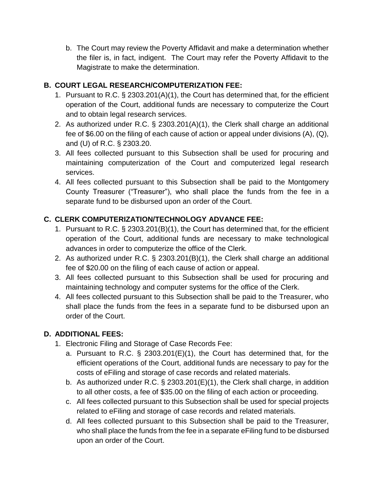b. The Court may review the Poverty Affidavit and make a determination whether the filer is, in fact, indigent. The Court may refer the Poverty Affidavit to the Magistrate to make the determination.

### **B. COURT LEGAL RESEARCH/COMPUTERIZATION FEE:**

- 1. Pursuant to R.C. § 2303.201(A)(1), the Court has determined that, for the efficient operation of the Court, additional funds are necessary to computerize the Court and to obtain legal research services.
- 2. As authorized under R.C. § 2303.201(A)(1), the Clerk shall charge an additional fee of \$6.00 on the filing of each cause of action or appeal under divisions (A), (Q), and (U) of R.C. § 2303.20.
- 3. All fees collected pursuant to this Subsection shall be used for procuring and maintaining computerization of the Court and computerized legal research services.
- 4. All fees collected pursuant to this Subsection shall be paid to the Montgomery County Treasurer ("Treasurer"), who shall place the funds from the fee in a separate fund to be disbursed upon an order of the Court.

## **C. CLERK COMPUTERIZATION/TECHNOLOGY ADVANCE FEE:**

- 1. Pursuant to R.C. § 2303.201(B)(1), the Court has determined that, for the efficient operation of the Court, additional funds are necessary to make technological advances in order to computerize the office of the Clerk.
- 2. As authorized under R.C. § 2303.201(B)(1), the Clerk shall charge an additional fee of \$20.00 on the filing of each cause of action or appeal.
- 3. All fees collected pursuant to this Subsection shall be used for procuring and maintaining technology and computer systems for the office of the Clerk.
- 4. All fees collected pursuant to this Subsection shall be paid to the Treasurer, who shall place the funds from the fees in a separate fund to be disbursed upon an order of the Court.

### **D. ADDITIONAL FEES:**

- 1. Electronic Filing and Storage of Case Records Fee:
	- a. Pursuant to R.C. § 2303.201(E)(1), the Court has determined that, for the efficient operations of the Court, additional funds are necessary to pay for the costs of eFiling and storage of case records and related materials.
	- b. As authorized under R.C. § 2303.201(E)(1), the Clerk shall charge, in addition to all other costs, a fee of \$35.00 on the filing of each action or proceeding.
	- c. All fees collected pursuant to this Subsection shall be used for special projects related to eFiling and storage of case records and related materials.
	- d. All fees collected pursuant to this Subsection shall be paid to the Treasurer, who shall place the funds from the fee in a separate eFiling fund to be disbursed upon an order of the Court.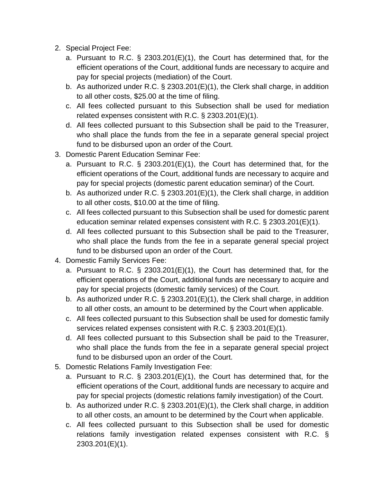- 2. Special Project Fee:
	- a. Pursuant to R.C. § 2303.201(E)(1), the Court has determined that, for the efficient operations of the Court, additional funds are necessary to acquire and pay for special projects (mediation) of the Court.
	- b. As authorized under R.C. § 2303.201(E)(1), the Clerk shall charge, in addition to all other costs, \$25.00 at the time of filing.
	- c. All fees collected pursuant to this Subsection shall be used for mediation related expenses consistent with R.C. § 2303.201(E)(1).
	- d. All fees collected pursuant to this Subsection shall be paid to the Treasurer, who shall place the funds from the fee in a separate general special project fund to be disbursed upon an order of the Court.
- 3. Domestic Parent Education Seminar Fee:
	- a. Pursuant to R.C. § 2303.201(E)(1), the Court has determined that, for the efficient operations of the Court, additional funds are necessary to acquire and pay for special projects (domestic parent education seminar) of the Court.
	- b. As authorized under R.C. § 2303.201(E)(1), the Clerk shall charge, in addition to all other costs, \$10.00 at the time of filing.
	- c. All fees collected pursuant to this Subsection shall be used for domestic parent education seminar related expenses consistent with R.C. § 2303.201(E)(1).
	- d. All fees collected pursuant to this Subsection shall be paid to the Treasurer, who shall place the funds from the fee in a separate general special project fund to be disbursed upon an order of the Court.
- 4. Domestic Family Services Fee:
	- a. Pursuant to R.C. § 2303.201(E)(1), the Court has determined that, for the efficient operations of the Court, additional funds are necessary to acquire and pay for special projects (domestic family services) of the Court.
	- b. As authorized under R.C. § 2303.201(E)(1), the Clerk shall charge, in addition to all other costs, an amount to be determined by the Court when applicable.
	- c. All fees collected pursuant to this Subsection shall be used for domestic family services related expenses consistent with R.C. § 2303.201(E)(1).
	- d. All fees collected pursuant to this Subsection shall be paid to the Treasurer, who shall place the funds from the fee in a separate general special project fund to be disbursed upon an order of the Court.
- 5. Domestic Relations Family Investigation Fee:
	- a. Pursuant to R.C. § 2303.201(E)(1), the Court has determined that, for the efficient operations of the Court, additional funds are necessary to acquire and pay for special projects (domestic relations family investigation) of the Court.
	- b. As authorized under R.C. § 2303.201(E)(1), the Clerk shall charge, in addition to all other costs, an amount to be determined by the Court when applicable.
	- c. All fees collected pursuant to this Subsection shall be used for domestic relations family investigation related expenses consistent with R.C. § 2303.201(E)(1).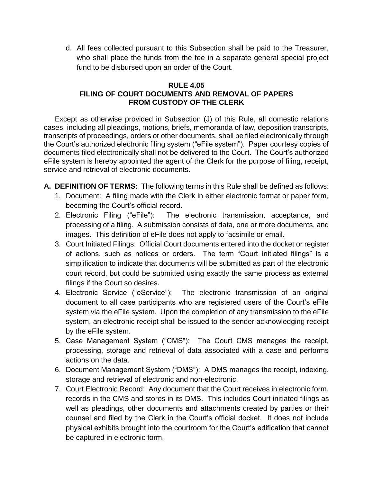d. All fees collected pursuant to this Subsection shall be paid to the Treasurer, who shall place the funds from the fee in a separate general special project fund to be disbursed upon an order of the Court.

#### **RULE 4.05 FILING OF COURT DOCUMENTS AND REMOVAL OF PAPERS FROM CUSTODY OF THE CLERK**

<span id="page-8-0"></span>Except as otherwise provided in Subsection (J) of this Rule, all domestic relations cases, including all pleadings, motions, briefs, memoranda of law, deposition transcripts, transcripts of proceedings, orders or other documents, shall be filed electronically through the Court's authorized electronic filing system ("eFile system"). Paper courtesy copies of documents filed electronically shall not be delivered to the Court. The Court's authorized eFile system is hereby appointed the agent of the Clerk for the purpose of filing, receipt, service and retrieval of electronic documents.

- **A. DEFINITION OF TERMS:** The following terms in this Rule shall be defined as follows:
	- 1. Document: A filing made with the Clerk in either electronic format or paper form, becoming the Court's official record.
	- 2. Electronic Filing ("eFile"): The electronic transmission, acceptance, and processing of a filing. A submission consists of data, one or more documents, and images. This definition of eFile does not apply to facsimile or email.
	- 3. Court Initiated Filings: Official Court documents entered into the docket or register of actions, such as notices or orders. The term "Court initiated filings" is a simplification to indicate that documents will be submitted as part of the electronic court record, but could be submitted using exactly the same process as external filings if the Court so desires.
	- 4. Electronic Service ("eService"): The electronic transmission of an original document to all case participants who are registered users of the Court's eFile system via the eFile system. Upon the completion of any transmission to the eFile system, an electronic receipt shall be issued to the sender acknowledging receipt by the eFile system.
	- 5. Case Management System ("CMS"): The Court CMS manages the receipt, processing, storage and retrieval of data associated with a case and performs actions on the data.
	- 6. Document Management System ("DMS"): A DMS manages the receipt, indexing, storage and retrieval of electronic and non-electronic.
	- 7. Court Electronic Record: Any document that the Court receives in electronic form, records in the CMS and stores in its DMS. This includes Court initiated filings as well as pleadings, other documents and attachments created by parties or their counsel and filed by the Clerk in the Court's official docket. It does not include physical exhibits brought into the courtroom for the Court's edification that cannot be captured in electronic form.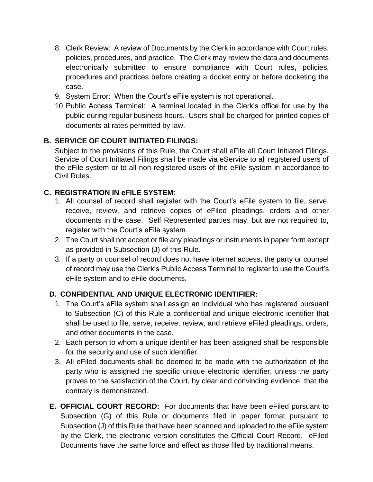- 8. Clerk Review: A review of Documents by the Clerk in accordance with Court rules, policies, procedures, and practice. The Clerk may review the data and documents electronically submitted to ensure compliance with Court rules, policies, procedures and practices before creating a docket entry or before docketing the case.
- 9. System Error: When the Court's eFile system is not operational.
- 10.Public Access Terminal: A terminal located in the Clerk's office for use by the public during regular business hours. Users shall be charged for printed copies of documents at rates permitted by law.

### **B. SERVICE OF COURT INITIATED FILINGS:**

Subject to the provisions of this Rule, the Court shall eFile all Court Initiated Filings. Service of Court Initiated Filings shall be made via eService to all registered users of the eFile system or to all non-registered users of the eFile system in accordance to Civil Rules.

#### **C. REGISTRATION IN eFILE SYSTEM**:

- 1. All counsel of record shall register with the Court's eFile system to file, serve, receive, review, and retrieve copies of eFiled pleadings, orders and other documents in the case. Self Represented parties may, but are not required to, register with the Court's eFile system.
- 2. The Court shall not accept or file any pleadings or instruments in paper form except as provided in Subsection (J) of this Rule.
- 3. If a party or counsel of record does not have internet access, the party or counsel of record may use the Clerk's Public Access Terminal to register to use the Court's eFile system and to eFile documents.

### **D. CONFIDENTIAL AND UNIQUE ELECTRONIC IDENTIFIER:**

- 1. The Court's eFile system shall assign an individual who has registered pursuant to Subsection (C) of this Rule a confidential and unique electronic identifier that shall be used to file, serve, receive, review, and retrieve eFiled pleadings, orders, and other documents in the case.
- 2. Each person to whom a unique identifier has been assigned shall be responsible for the security and use of such identifier.
- 3. All eFiled documents shall be deemed to be made with the authorization of the party who is assigned the specific unique electronic identifier, unless the party proves to the satisfaction of the Court, by clear and convincing evidence, that the contrary is demonstrated.
- **E. OFFICIAL COURT RECORD:** For documents that have been eFiled pursuant to Subsection (G) of this Rule or documents filed in paper format pursuant to Subsection (J) of this Rule that have been scanned and uploaded to the eFile system by the Clerk, the electronic version constitutes the Official Court Record. eFiled Documents have the same force and effect as those filed by traditional means.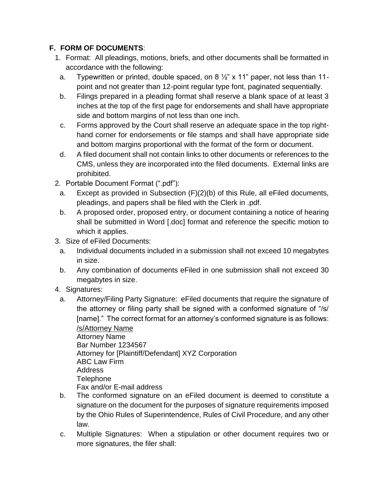### **F. FORM OF DOCUMENTS**:

- 1. Format: All pleadings, motions, briefs, and other documents shall be formatted in accordance with the following:
	- a. Typewritten or printed, double spaced, on  $8\frac{1}{2}$ " x 11" paper, not less than 11point and not greater than 12-point regular type font, paginated sequentially.
	- b. Filings prepared in a pleading format shall reserve a blank space of at least 3 inches at the top of the first page for endorsements and shall have appropriate side and bottom margins of not less than one inch.
	- c. Forms approved by the Court shall reserve an adequate space in the top righthand corner for endorsements or file stamps and shall have appropriate side and bottom margins proportional with the format of the form or document.
	- d. A filed document shall not contain links to other documents or references to the CMS, unless they are incorporated into the filed documents. External links are prohibited.
- 2. Portable Document Format (".pdf"):
	- a. Except as provided in Subsection (F)(2)(b) of this Rule, all eFiled documents, pleadings, and papers shall be filed with the Clerk in .pdf.
	- b. A proposed order, proposed entry, or document containing a notice of hearing shall be submitted in Word [.doc] format and reference the specific motion to which it applies.
- 3. Size of eFiled Documents:
	- a. Individual documents included in a submission shall not exceed 10 megabytes in size.
	- b. Any combination of documents eFiled in one submission shall not exceed 30 megabytes in size.
- 4. Signatures:
- a. Attorney/Filing Party Signature: eFiled documents that require the signature of the attorney or filing party shall be signed with a conformed signature of "/s/ [name]." The correct format for an attorney's conformed signature is as follows:

/s/Attorney Name Attorney Name Bar Number 1234567 Attorney for [Plaintiff/Defendant] XYZ Corporation ABC Law Firm Address **Telephone** Fax and/or E-mail address

- b. The conformed signature on an eFiled document is deemed to constitute a signature on the document for the purposes of signature requirements imposed by the Ohio Rules of Superintendence, Rules of Civil Procedure, and any other law.
- c. Multiple Signatures: When a stipulation or other document requires two or more signatures, the filer shall: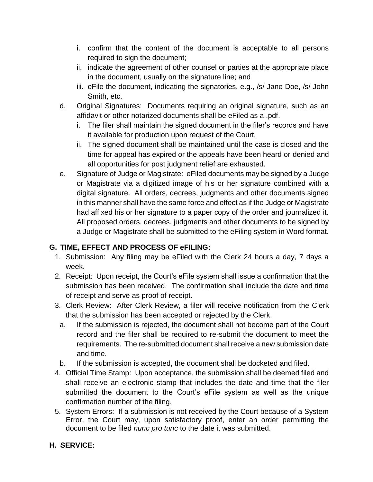- i. confirm that the content of the document is acceptable to all persons required to sign the document;
- ii. indicate the agreement of other counsel or parties at the appropriate place in the document, usually on the signature line; and
- iii. eFile the document, indicating the signatories, e.g., /s/ Jane Doe, /s/ John Smith, etc.
- d. Original Signatures: Documents requiring an original signature, such as an affidavit or other notarized documents shall be eFiled as a .pdf.
	- i. The filer shall maintain the signed document in the filer's records and have it available for production upon request of the Court.
	- ii. The signed document shall be maintained until the case is closed and the time for appeal has expired or the appeals have been heard or denied and all opportunities for post judgment relief are exhausted.
- e. Signature of Judge or Magistrate: eFiled documents may be signed by a Judge or Magistrate via a digitized image of his or her signature combined with a digital signature. All orders, decrees, judgments and other documents signed in this manner shall have the same force and effect as if the Judge or Magistrate had affixed his or her signature to a paper copy of the order and journalized it. All proposed orders, decrees, judgments and other documents to be signed by a Judge or Magistrate shall be submitted to the eFiling system in Word format.

### **G. TIME, EFFECT AND PROCESS OF eFILING:**

- 1. Submission: Any filing may be eFiled with the Clerk 24 hours a day, 7 days a week.
- 2. Receipt: Upon receipt, the Court's eFile system shall issue a confirmation that the submission has been received. The confirmation shall include the date and time of receipt and serve as proof of receipt.
- 3. Clerk Review: After Clerk Review, a filer will receive notification from the Clerk that the submission has been accepted or rejected by the Clerk.
	- a. If the submission is rejected, the document shall not become part of the Court record and the filer shall be required to re-submit the document to meet the requirements. The re-submitted document shall receive a new submission date and time.
- b. If the submission is accepted, the document shall be docketed and filed.
- 4. Official Time Stamp: Upon acceptance, the submission shall be deemed filed and shall receive an electronic stamp that includes the date and time that the filer submitted the document to the Court's eFile system as well as the unique confirmation number of the filing.
- 5. System Errors: If a submission is not received by the Court because of a System Error, the Court may, upon satisfactory proof, enter an order permitting the document to be filed *nunc pro tunc* to the date it was submitted.

### **H. SERVICE:**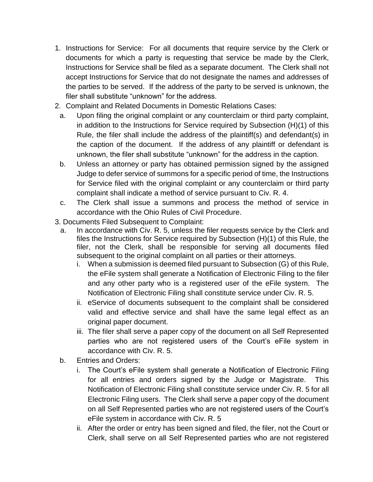- 1. Instructions for Service: For all documents that require service by the Clerk or documents for which a party is requesting that service be made by the Clerk, Instructions for Service shall be filed as a separate document. The Clerk shall not accept Instructions for Service that do not designate the names and addresses of the parties to be served. If the address of the party to be served is unknown, the filer shall substitute "unknown" for the address.
- 2. Complaint and Related Documents in Domestic Relations Cases:
	- a. Upon filing the original complaint or any counterclaim or third party complaint, in addition to the Instructions for Service required by Subsection (H)(1) of this Rule, the filer shall include the address of the plaintiff(s) and defendant(s) in the caption of the document. If the address of any plaintiff or defendant is unknown, the filer shall substitute "unknown" for the address in the caption.
	- b. Unless an attorney or party has obtained permission signed by the assigned Judge to defer service of summons for a specific period of time, the Instructions for Service filed with the original complaint or any counterclaim or third party complaint shall indicate a method of service pursuant to Civ. R. 4.
	- c. The Clerk shall issue a summons and process the method of service in accordance with the Ohio Rules of Civil Procedure.
- 3. Documents Filed Subsequent to Complaint:
	- a. In accordance with Civ. R. 5, unless the filer requests service by the Clerk and files the Instructions for Service required by Subsection (H)(1) of this Rule, the filer, not the Clerk, shall be responsible for serving all documents filed subsequent to the original complaint on all parties or their attorneys.
		- i. When a submission is deemed filed pursuant to Subsection (G) of this Rule, the eFile system shall generate a Notification of Electronic Filing to the filer and any other party who is a registered user of the eFile system. The Notification of Electronic Filing shall constitute service under Civ. R. 5.
		- ii. eService of documents subsequent to the complaint shall be considered valid and effective service and shall have the same legal effect as an original paper document.
		- iii. The filer shall serve a paper copy of the document on all Self Represented parties who are not registered users of the Court's eFile system in accordance with Civ. R. 5.
	- b. Entries and Orders:
		- i. The Court's eFile system shall generate a Notification of Electronic Filing for all entries and orders signed by the Judge or Magistrate. This Notification of Electronic Filing shall constitute service under Civ. R. 5 for all Electronic Filing users. The Clerk shall serve a paper copy of the document on all Self Represented parties who are not registered users of the Court's eFile system in accordance with Civ. R. 5
		- ii. After the order or entry has been signed and filed, the filer, not the Court or Clerk, shall serve on all Self Represented parties who are not registered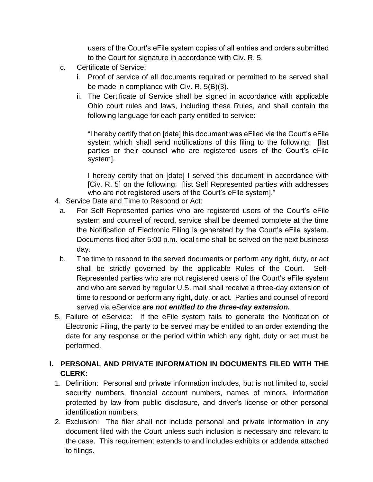users of the Court's eFile system copies of all entries and orders submitted to the Court for signature in accordance with Civ. R. 5.

- c. Certificate of Service:
	- i. Proof of service of all documents required or permitted to be served shall be made in compliance with Civ. R. 5(B)(3).
	- ii. The Certificate of Service shall be signed in accordance with applicable Ohio court rules and laws, including these Rules, and shall contain the following language for each party entitled to service:

"I hereby certify that on [date] this document was eFiled via the Court's eFile system which shall send notifications of this filing to the following: [list] parties or their counsel who are registered users of the Court's eFile system].

I hereby certify that on [date] I served this document in accordance with [Civ. R. 5] on the following: [list Self Represented parties with addresses who are not registered users of the Court's eFile system]."

- 4. Service Date and Time to Respond or Act:
- a. For Self Represented parties who are registered users of the Court's eFile system and counsel of record, service shall be deemed complete at the time the Notification of Electronic Filing is generated by the Court's eFile system. Documents filed after 5:00 p.m. local time shall be served on the next business day.
- b. The time to respond to the served documents or perform any right, duty, or act shall be strictly governed by the applicable Rules of the Court. Self-Represented parties who are not registered users of the Court's eFile system and who are served by regular U.S. mail shall receive a three-day extension of time to respond or perform any right, duty, or act. Parties and counsel of record served via eService *are not entitled to the three-day extension.*
- 5. Failure of eService: If the eFile system fails to generate the Notification of Electronic Filing, the party to be served may be entitled to an order extending the date for any response or the period within which any right, duty or act must be performed.

## **I. PERSONAL AND PRIVATE INFORMATION IN DOCUMENTS FILED WITH THE CLERK:**

- 1. Definition: Personal and private information includes, but is not limited to, social security numbers, financial account numbers, names of minors, information protected by law from public disclosure, and driver's license or other personal identification numbers.
- 2. Exclusion: The filer shall not include personal and private information in any document filed with the Court unless such inclusion is necessary and relevant to the case. This requirement extends to and includes exhibits or addenda attached to filings.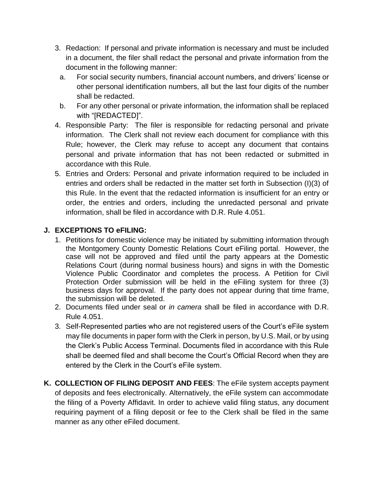- 3. Redaction: If personal and private information is necessary and must be included in a document, the filer shall redact the personal and private information from the document in the following manner:
	- a. For social security numbers, financial account numbers, and drivers' license or other personal identification numbers, all but the last four digits of the number shall be redacted.
	- b. For any other personal or private information, the information shall be replaced with "[REDACTED]".
- 4. Responsible Party: The filer is responsible for redacting personal and private information. The Clerk shall not review each document for compliance with this Rule; however, the Clerk may refuse to accept any document that contains personal and private information that has not been redacted or submitted in accordance with this Rule.
- 5. Entries and Orders: Personal and private information required to be included in entries and orders shall be redacted in the matter set forth in Subsection (I)(3) of this Rule. In the event that the redacted information is insufficient for an entry or order, the entries and orders, including the unredacted personal and private information, shall be filed in accordance with D.R. Rule 4.051.

#### **J. EXCEPTIONS TO eFILING:**

- 1. Petitions for domestic violence may be initiated by submitting information through the Montgomery County Domestic Relations Court eFiling portal. However, the case will not be approved and filed until the party appears at the Domestic Relations Court (during normal business hours) and signs in with the Domestic Violence Public Coordinator and completes the process. A Petition for Civil Protection Order submission will be held in the eFiling system for three (3) business days for approval. If the party does not appear during that time frame, the submission will be deleted.
- 2. Documents filed under seal or *in camera* shall be filed in accordance with D.R. Rule 4.051.
- 3. Self-Represented parties who are not registered users of the Court's eFile system may file documents in paper form with the Clerk in person, by U.S. Mail, or by using the Clerk's Public Access Terminal. Documents filed in accordance with this Rule shall be deemed filed and shall become the Court's Official Record when they are entered by the Clerk in the Court's eFile system.
- **K. COLLECTION OF FILING DEPOSIT AND FEES**: The eFile system accepts payment of deposits and fees electronically. Alternatively, the eFile system can accommodate the filing of a Poverty Affidavit. In order to achieve valid filing status, any document requiring payment of a filing deposit or fee to the Clerk shall be filed in the same manner as any other eFiled document.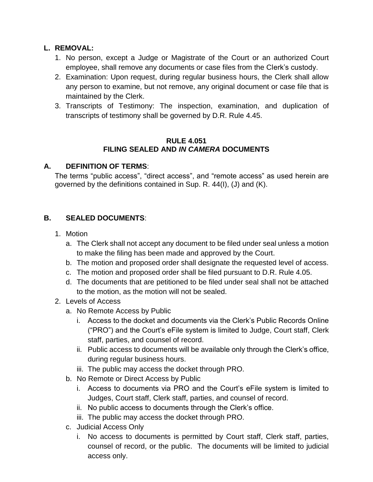#### **L. REMOVAL:**

- 1. No person, except a Judge or Magistrate of the Court or an authorized Court employee, shall remove any documents or case files from the Clerk's custody.
- 2. Examination: Upon request, during regular business hours, the Clerk shall allow any person to examine, but not remove, any original document or case file that is maintained by the Clerk.
- 3. Transcripts of Testimony: The inspection, examination, and duplication of transcripts of testimony shall be governed by D.R. Rule 4.45.

#### **RULE 4.051 FILING SEALED AND** *IN CAMERA* **DOCUMENTS**

#### **A. DEFINITION OF TERMS**:

The terms "public access", "direct access", and "remote access" as used herein are governed by the definitions contained in Sup. R. 44(I), (J) and (K).

#### **B. SEALED DOCUMENTS**:

- 1. Motion
	- a. The Clerk shall not accept any document to be filed under seal unless a motion to make the filing has been made and approved by the Court.
	- b. The motion and proposed order shall designate the requested level of access.
	- c. The motion and proposed order shall be filed pursuant to D.R. Rule 4.05.
	- d. The documents that are petitioned to be filed under seal shall not be attached to the motion, as the motion will not be sealed.
- 2. Levels of Access
	- a. No Remote Access by Public
		- i. Access to the docket and documents via the Clerk's Public Records Online ("PRO") and the Court's eFile system is limited to Judge, Court staff, Clerk staff, parties, and counsel of record.
		- ii. Public access to documents will be available only through the Clerk's office, during regular business hours.
		- iii. The public may access the docket through PRO.
	- b. No Remote or Direct Access by Public
		- i. Access to documents via PRO and the Court's eFile system is limited to Judges, Court staff, Clerk staff, parties, and counsel of record.
		- ii. No public access to documents through the Clerk's office.
		- iii. The public may access the docket through PRO.
	- c. Judicial Access Only
		- i. No access to documents is permitted by Court staff, Clerk staff, parties, counsel of record, or the public. The documents will be limited to judicial access only.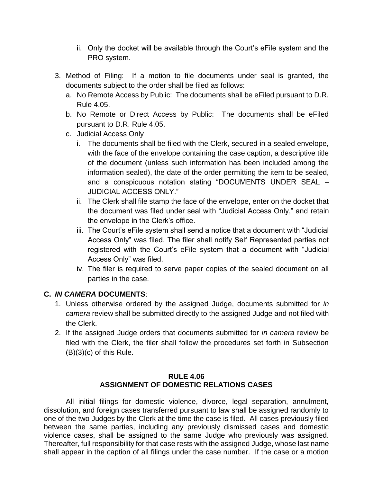- ii. Only the docket will be available through the Court's eFile system and the PRO system.
- 3. Method of Filing: If a motion to file documents under seal is granted, the documents subject to the order shall be filed as follows:
	- a. No Remote Access by Public: The documents shall be eFiled pursuant to D.R. Rule 4.05.
	- b. No Remote or Direct Access by Public: The documents shall be eFiled pursuant to D.R. Rule 4.05.
	- c. Judicial Access Only
		- i. The documents shall be filed with the Clerk, secured in a sealed envelope, with the face of the envelope containing the case caption, a descriptive title of the document (unless such information has been included among the information sealed), the date of the order permitting the item to be sealed, and a conspicuous notation stating "DOCUMENTS UNDER SEAL – JUDICIAL ACCESS ONLY."
		- ii. The Clerk shall file stamp the face of the envelope, enter on the docket that the document was filed under seal with "Judicial Access Only," and retain the envelope in the Clerk's office.
		- iii. The Court's eFile system shall send a notice that a document with "Judicial Access Only" was filed. The filer shall notify Self Represented parties not registered with the Court's eFile system that a document with "Judicial Access Only" was filed.
		- iv. The filer is required to serve paper copies of the sealed document on all parties in the case.

#### **C.** *IN CAMERA* **DOCUMENTS**:

- 1. Unless otherwise ordered by the assigned Judge, documents submitted for *in camera* review shall be submitted directly to the assigned Judge and not filed with the Clerk.
- 2. If the assigned Judge orders that documents submitted for *in camera* review be filed with the Clerk, the filer shall follow the procedures set forth in Subsection  $(B)(3)(c)$  of this Rule.

#### **RULE 4.06 ASSIGNMENT OF DOMESTIC RELATIONS CASES**

<span id="page-16-0"></span>All initial filings for domestic violence, divorce, legal separation, annulment, dissolution, and foreign cases transferred pursuant to law shall be assigned randomly to one of the two Judges by the Clerk at the time the case is filed. All cases previously filed between the same parties, including any previously dismissed cases and domestic violence cases, shall be assigned to the same Judge who previously was assigned. Thereafter, full responsibility for that case rests with the assigned Judge, whose last name shall appear in the caption of all filings under the case number. If the case or a motion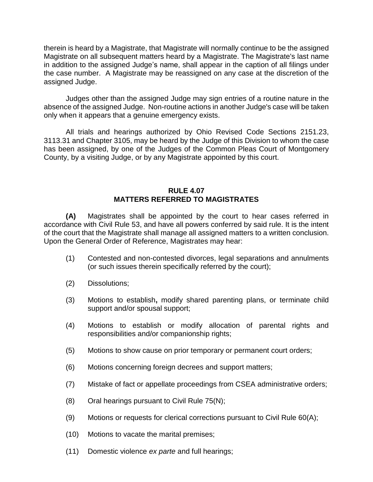therein is heard by a Magistrate, that Magistrate will normally continue to be the assigned Magistrate on all subsequent matters heard by a Magistrate. The Magistrate's last name in addition to the assigned Judge's name, shall appear in the caption of all filings under the case number. A Magistrate may be reassigned on any case at the discretion of the assigned Judge.

Judges other than the assigned Judge may sign entries of a routine nature in the absence of the assigned Judge. Non-routine actions in another Judge's case will be taken only when it appears that a genuine emergency exists.

All trials and hearings authorized by Ohio Revised Code Sections 2151.23, 3113.31 and Chapter 3105, may be heard by the Judge of this Division to whom the case has been assigned, by one of the Judges of the Common Pleas Court of Montgomery County, by a visiting Judge, or by any Magistrate appointed by this court.

#### **RULE 4.07 MATTERS REFERRED TO MAGISTRATES**

<span id="page-17-0"></span>**(A)** Magistrates shall be appointed by the court to hear cases referred in accordance with Civil Rule 53, and have all powers conferred by said rule. It is the intent of the court that the Magistrate shall manage all assigned matters to a written conclusion. Upon the General Order of Reference, Magistrates may hear:

- (1) Contested and non-contested divorces, legal separations and annulments (or such issues therein specifically referred by the court);
- (2) Dissolutions;
- (3) Motions to establish**,** modify shared parenting plans, or terminate child support and/or spousal support;
- (4) Motions to establish or modify allocation of parental rights and responsibilities and/or companionship rights;
- (5) Motions to show cause on prior temporary or permanent court orders;
- (6) Motions concerning foreign decrees and support matters;
- (7) Mistake of fact or appellate proceedings from CSEA administrative orders;
- $(8)$  Oral hearings pursuant to Civil Rule 75(N);
- (9) Motions or requests for clerical corrections pursuant to Civil Rule 60(A);
- (10) Motions to vacate the marital premises;
- (11) Domestic violence *ex parte* and full hearings;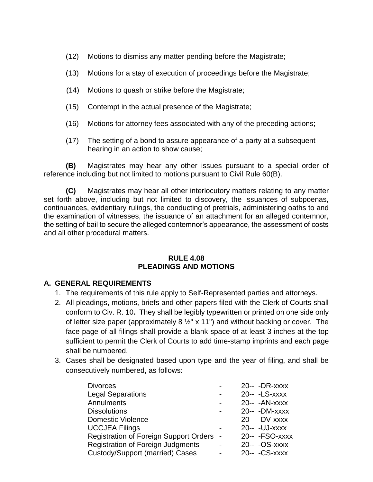- (12) Motions to dismiss any matter pending before the Magistrate;
- (13) Motions for a stay of execution of proceedings before the Magistrate;
- (14) Motions to quash or strike before the Magistrate;
- (15) Contempt in the actual presence of the Magistrate;
- (16) Motions for attorney fees associated with any of the preceding actions;
- (17) The setting of a bond to assure appearance of a party at a subsequent hearing in an action to show cause;

**(B)** Magistrates may hear any other issues pursuant to a special order of reference including but not limited to motions pursuant to Civil Rule 60(B).

**(C)** Magistrates may hear all other interlocutory matters relating to any matter set forth above, including but not limited to discovery, the issuances of subpoenas, continuances, evidentiary rulings, the conducting of pretrials, administering oaths to and the examination of witnesses, the issuance of an attachment for an alleged contemnor, the setting of bail to secure the alleged contemnor's appearance, the assessment of costs and all other procedural matters.

#### **RULE 4.08 PLEADINGS AND MOTIONS**

#### <span id="page-18-0"></span>**A. GENERAL REQUIREMENTS**

- 1. The requirements of this rule apply to Self-Represented parties and attorneys.
- 2. All pleadings, motions, briefs and other papers filed with the Clerk of Courts shall conform to Civ. R. 10**.** They shall be legibly typewritten or printed on one side only of letter size paper (approximately 8  $\frac{1}{2}$ " x 11") and without backing or cover. The face page of all filings shall provide a blank space of at least 3 inches at the top sufficient to permit the Clerk of Courts to add time-stamp imprints and each page shall be numbered.
- 3. Cases shall be designated based upon type and the year of filing, and shall be consecutively numbered, as follows:

| <b>Divorces</b>                               |                          | 20-- - DR-XXXX  |
|-----------------------------------------------|--------------------------|-----------------|
| <b>Legal Separations</b>                      | -                        | 20-- - LS-XXXX  |
| Annulments                                    | $\blacksquare$           | $20 - -AN-xxxx$ |
| <b>Dissolutions</b>                           | $\blacksquare$           | 20-- - DM-XXXX  |
| <b>Domestic Violence</b>                      | $\overline{\phantom{0}}$ | 20-- - DV-XXXX  |
| <b>UCCJEA Filings</b>                         |                          | 20-- - UJ-XXXX  |
| <b>Registration of Foreign Support Orders</b> | $\sim$                   | 20-- - FSO-xxxx |
| <b>Registration of Foreign Judgments</b>      |                          | 20-- - OS-xxxx  |
| <b>Custody/Support (married) Cases</b>        |                          | 20-- - CS-XXXX  |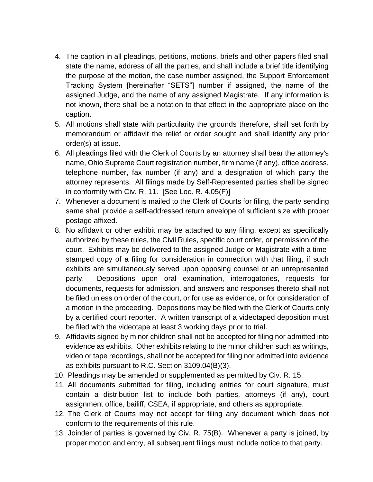- 4. The caption in all pleadings, petitions, motions, briefs and other papers filed shall state the name, address of all the parties, and shall include a brief title identifying the purpose of the motion, the case number assigned, the Support Enforcement Tracking System [hereinafter "SETS"] number if assigned, the name of the assigned Judge, and the name of any assigned Magistrate. If any information is not known, there shall be a notation to that effect in the appropriate place on the caption.
- 5. All motions shall state with particularity the grounds therefore, shall set forth by memorandum or affidavit the relief or order sought and shall identify any prior order(s) at issue.
- 6. All pleadings filed with the Clerk of Courts by an attorney shall bear the attorney's name, Ohio Supreme Court registration number, firm name (if any), office address, telephone number, fax number (if any) and a designation of which party the attorney represents. All filings made by Self-Represented parties shall be signed in conformity with Civ. R. 11. [See Loc. R. 4.05(F)]
- 7. Whenever a document is mailed to the Clerk of Courts for filing, the party sending same shall provide a self-addressed return envelope of sufficient size with proper postage affixed.
- 8. No affidavit or other exhibit may be attached to any filing, except as specifically authorized by these rules, the Civil Rules, specific court order, or permission of the court. Exhibits may be delivered to the assigned Judge or Magistrate with a timestamped copy of a filing for consideration in connection with that filing, if such exhibits are simultaneously served upon opposing counsel or an unrepresented party. Depositions upon oral examination, interrogatories, requests for documents, requests for admission, and answers and responses thereto shall not be filed unless on order of the court, or for use as evidence, or for consideration of a motion in the proceeding. Depositions may be filed with the Clerk of Courts only by a certified court reporter. A written transcript of a videotaped deposition must be filed with the videotape at least 3 working days prior to trial.
- 9. Affidavits signed by minor children shall not be accepted for filing nor admitted into evidence as exhibits. Other exhibits relating to the minor children such as writings, video or tape recordings, shall not be accepted for filing nor admitted into evidence as exhibits pursuant to R.C. Section 3109.04(B)(3).
- 10. Pleadings may be amended or supplemented as permitted by Civ. R. 15.
- 11. All documents submitted for filing, including entries for court signature, must contain a distribution list to include both parties, attorneys (if any), court assignment office, bailiff, CSEA, if appropriate, and others as appropriate.
- 12. The Clerk of Courts may not accept for filing any document which does not conform to the requirements of this rule.
- 13. Joinder of parties is governed by Civ. R. 75(B). Whenever a party is joined, by proper motion and entry, all subsequent filings must include notice to that party.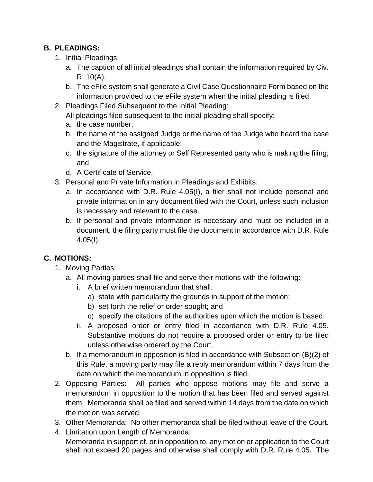### **B. PLEADINGS:**

- 1. Initial Pleadings:
	- a. The caption of all initial pleadings shall contain the information required by Civ. R. 10(A).
	- b. The eFile system shall generate a Civil Case Questionnaire Form based on the information provided to the eFile system when the initial pleading is filed.
- 2. Pleadings Filed Subsequent to the Initial Pleading:

All pleadings filed subsequent to the initial pleading shall specify:

- a. the case number;
- b. the name of the assigned Judge or the name of the Judge who heard the case and the Magistrate, if applicable;
- c. the signature of the attorney or Self Represented party who is making the filing; and
- d. A Certificate of Service.
- 3. Personal and Private Information in Pleadings and Exhibits:
	- a. In accordance with D.R. Rule 4.05(I), a filer shall not include personal and private information in any document filed with the Court, unless such inclusion is necessary and relevant to the case.
	- b. If personal and private information is necessary and must be included in a document, the filing party must file the document in accordance with D.R. Rule 4.05(I),

# **C. MOTIONS:**

- 1. Moving Parties:
	- a. All moving parties shall file and serve their motions with the following:
		- i. A brief written memorandum that shall:
			- a) state with particularity the grounds in support of the motion;
			- b) set forth the relief or order sought; and
			- c) specify the citations of the authorities upon which the motion is based.
		- ii. A proposed order or entry filed in accordance with D.R. Rule 4.05. Substantive motions do not require a proposed order or entry to be filed unless otherwise ordered by the Court.
	- b. If a memorandum in opposition is filed in accordance with Subsection (B)(2) of this Rule, a moving party may file a reply memorandum within 7 days from the date on which the memorandum in opposition is filed.
- 2. Opposing Parties: All parties who oppose motions may file and serve a memorandum in opposition to the motion that has been filed and served against them. Memoranda shall be filed and served within 14 days from the date on which the motion was served.
- 3. Other Memoranda: No other memoranda shall be filed without leave of the Court.
- 4. Limitation upon Length of Memoranda:

Memoranda in support of, or in opposition to, any motion or application to the Court shall not exceed 20 pages and otherwise shall comply with D.R. Rule 4.05. The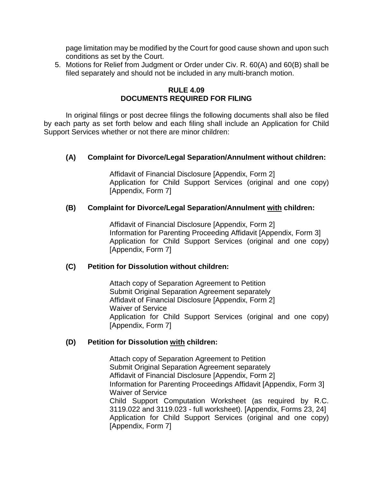page limitation may be modified by the Court for good cause shown and upon such conditions as set by the Court.

5. Motions for Relief from Judgment or Order under Civ. R. 60(A) and 60(B) shall be filed separately and should not be included in any multi-branch motion.

#### **RULE 4.09 DOCUMENTS REQUIRED FOR FILING**

<span id="page-21-0"></span>In original filings or post decree filings the following documents shall also be filed by each party as set forth below and each filing shall include an Application for Child Support Services whether or not there are minor children:

#### **(A) Complaint for Divorce/Legal Separation/Annulment without children:**

Affidavit of Financial Disclosure [Appendix, Form 2] Application for Child Support Services (original and one copy) [Appendix, Form 7]

#### **(B) Complaint for Divorce/Legal Separation/Annulment with children:**

Affidavit of Financial Disclosure [Appendix, Form 2] Information for Parenting Proceeding Affidavit [Appendix, Form 3] Application for Child Support Services (original and one copy) [Appendix, Form 7]

#### **(C) Petition for Dissolution without children:**

Attach copy of Separation Agreement to Petition Submit Original Separation Agreement separately Affidavit of Financial Disclosure [Appendix, Form 2] Waiver of Service Application for Child Support Services (original and one copy) [Appendix, Form 7]

#### **(D) Petition for Dissolution with children:**

Attach copy of Separation Agreement to Petition Submit Original Separation Agreement separately Affidavit of Financial Disclosure [Appendix, Form 2] Information for Parenting Proceedings Affidavit [Appendix, Form 3] Waiver of Service Child Support Computation Worksheet (as required by R.C. 3119.022 and 3119.023 - full worksheet). [Appendix, Forms 23, 24] Application for Child Support Services (original and one copy) [Appendix, Form 7]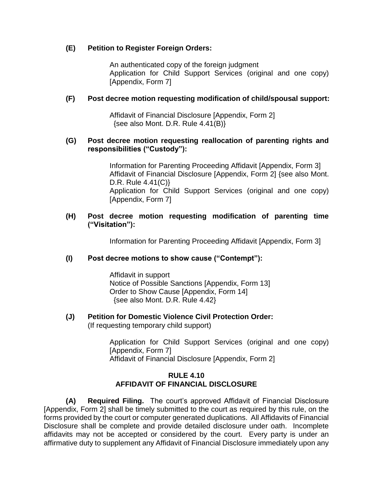#### **(E) Petition to Register Foreign Orders:**

An authenticated copy of the foreign judgment Application for Child Support Services (original and one copy) [Appendix, Form 7]

#### **(F) Post decree motion requesting modification of child/spousal support:**

Affidavit of Financial Disclosure [Appendix, Form 2] {see also Mont. D.R. Rule 4.41(B)}

#### **(G) Post decree motion requesting reallocation of parenting rights and responsibilities ("Custody"):**

Information for Parenting Proceeding Affidavit [Appendix, Form 3] Affidavit of Financial Disclosure [Appendix, Form 2] {see also Mont. D.R. Rule 4.41(C)} Application for Child Support Services (original and one copy) [Appendix, Form 7]

#### **(H) Post decree motion requesting modification of parenting time ("Visitation"):**

Information for Parenting Proceeding Affidavit [Appendix, Form 3]

#### **(I) Post decree motions to show cause ("Contempt"):**

Affidavit in support Notice of Possible Sanctions [Appendix, Form 13] Order to Show Cause [Appendix, Form 14] {see also Mont. D.R. Rule 4.42}

# **(J) Petition for Domestic Violence Civil Protection Order:**

(If requesting temporary child support)

Application for Child Support Services (original and one copy) [Appendix, Form 7] Affidavit of Financial Disclosure [Appendix, Form 2]

#### **RULE 4.10 AFFIDAVIT OF FINANCIAL DISCLOSURE**

<span id="page-22-0"></span>**(A) Required Filing.** The court's approved Affidavit of Financial Disclosure [Appendix, Form 2] shall be timely submitted to the court as required by this rule, on the forms provided by the court or computer generated duplications. All Affidavits of Financial Disclosure shall be complete and provide detailed disclosure under oath. Incomplete affidavits may not be accepted or considered by the court. Every party is under an affirmative duty to supplement any Affidavit of Financial Disclosure immediately upon any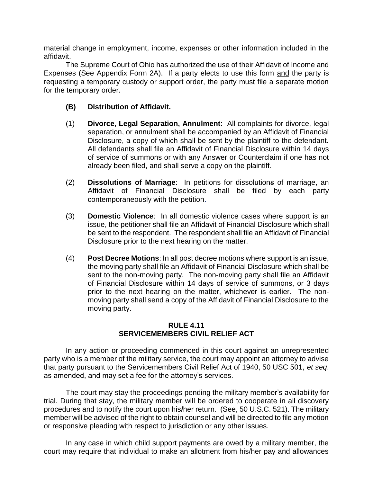material change in employment, income, expenses or other information included in the affidavit.

The Supreme Court of Ohio has authorized the use of their Affidavit of Income and Expenses (See Appendix Form 2A). If a party elects to use this form and the party is requesting a temporary custody or support order, the party must file a separate motion for the temporary order.

- **(B) Distribution of Affidavit.**
- (1) **Divorce, Legal Separation, Annulment**: All complaints for divorce, legal separation, or annulment shall be accompanied by an Affidavit of Financial Disclosure, a copy of which shall be sent by the plaintiff to the defendant. All defendants shall file an Affidavit of Financial Disclosure within 14 days of service of summons or with any Answer or Counterclaim if one has not already been filed, and shall serve a copy on the plaintiff.
- (2) **Dissolutions of Marriage**: In petitions for dissolutions of marriage, an Affidavit of Financial Disclosure shall be filed by each party contemporaneously with the petition.
- (3) **Domestic Violence**: In all domestic violence cases where support is an issue, the petitioner shall file an Affidavit of Financial Disclosure which shall be sent to the respondent. The respondent shall file an Affidavit of Financial Disclosure prior to the next hearing on the matter.
- (4) **Post Decree Motions**: In all post decree motions where support is an issue, the moving party shall file an Affidavit of Financial Disclosure which shall be sent to the non-moving party. The non-moving party shall file an Affidavit of Financial Disclosure within 14 days of service of summons, or 3 days prior to the next hearing on the matter, whichever is earlier. The nonmoving party shall send a copy of the Affidavit of Financial Disclosure to the moving party.

#### **RULE 4.11 SERVICEMEMBERS CIVIL RELIEF ACT**

<span id="page-23-0"></span>In any action or proceeding commenced in this court against an unrepresented party who is a member of the military service, the court may appoint an attorney to advise that party pursuant to the Servicemembers Civil Relief Act of 1940, 50 USC 501, *et seq*. as amended, and may set a fee for the attorney's services.

The court may stay the proceedings pending the military member's availability for trial. During that stay, the military member will be ordered to cooperate in all discovery procedures and to notify the court upon his**/**her return. (See, 50 U.S.C. 521). The military member will be advised of the right to obtain counsel and will be directed to file any motion or responsive pleading with respect to jurisdiction or any other issues.

In any case in which child support payments are owed by a military member, the court may require that individual to make an allotment from his/her pay and allowances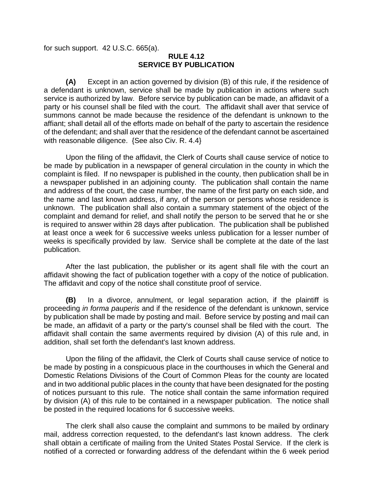<span id="page-24-0"></span>for such support. 42 U.S.C. 665(a).

#### **RULE 4.12 SERVICE BY PUBLICATION**

**(A)** Except in an action governed by division (B) of this rule, if the residence of a defendant is unknown, service shall be made by publication in actions where such service is authorized by law. Before service by publication can be made, an affidavit of a party or his counsel shall be filed with the court. The affidavit shall aver that service of summons cannot be made because the residence of the defendant is unknown to the affiant; shall detail all of the efforts made on behalf of the party to ascertain the residence of the defendant; and shall aver that the residence of the defendant cannot be ascertained with reasonable diligence. {See also Civ. R. 4.4}

Upon the filing of the affidavit, the Clerk of Courts shall cause service of notice to be made by publication in a newspaper of general circulation in the county in which the complaint is filed. If no newspaper is published in the county, then publication shall be in a newspaper published in an adjoining county. The publication shall contain the name and address of the court, the case number, the name of the first party on each side, and the name and last known address, if any, of the person or persons whose residence is unknown. The publication shall also contain a summary statement of the object of the complaint and demand for relief, and shall notify the person to be served that he or she is required to answer within 28 days after publication. The publication shall be published at least once a week for 6 successive weeks unless publication for a lesser number of weeks is specifically provided by law. Service shall be complete at the date of the last publication.

After the last publication, the publisher or its agent shall file with the court an affidavit showing the fact of publication together with a copy of the notice of publication. The affidavit and copy of the notice shall constitute proof of service.

**(B)** In a divorce, annulment, or legal separation action, if the plaintiff is proceeding *in forma pauperis* and if the residence of the defendant is unknown, service by publication shall be made by posting and mail. Before service by posting and mail can be made, an affidavit of a party or the party's counsel shall be filed with the court. The affidavit shall contain the same averments required by division (A) of this rule and, in addition, shall set forth the defendant's last known address.

Upon the filing of the affidavit, the Clerk of Courts shall cause service of notice to be made by posting in a conspicuous place in the courthouses in which the General and Domestic Relations Divisions of the Court of Common Pleas for the county are located and in two additional public places in the county that have been designated for the posting of notices pursuant to this rule. The notice shall contain the same information required by division (A) of this rule to be contained in a newspaper publication. The notice shall be posted in the required locations for 6 successive weeks.

The clerk shall also cause the complaint and summons to be mailed by ordinary mail, address correction requested, to the defendant's last known address. The clerk shall obtain a certificate of mailing from the United States Postal Service. If the clerk is notified of a corrected or forwarding address of the defendant within the 6 week period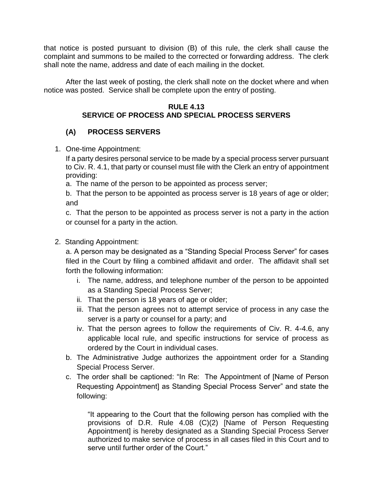that notice is posted pursuant to division (B) of this rule, the clerk shall cause the complaint and summons to be mailed to the corrected or forwarding address. The clerk shall note the name, address and date of each mailing in the docket.

After the last week of posting, the clerk shall note on the docket where and when notice was posted. Service shall be complete upon the entry of posting.

#### **RULE 4.13 SERVICE OF PROCESS AND SPECIAL PROCESS SERVERS**

# **(A) PROCESS SERVERS**

1. One-time Appointment:

If a party desires personal service to be made by a special process server pursuant to Civ. R. 4.1, that party or counsel must file with the Clerk an entry of appointment providing:

a. The name of the person to be appointed as process server;

b. That the person to be appointed as process server is 18 years of age or older; and

c. That the person to be appointed as process server is not a party in the action or counsel for a party in the action.

2. Standing Appointment:

a. A person may be designated as a "Standing Special Process Server" for cases filed in the Court by filing a combined affidavit and order. The affidavit shall set forth the following information:

- i. The name, address, and telephone number of the person to be appointed as a Standing Special Process Server;
- ii. That the person is 18 years of age or older;
- iii. That the person agrees not to attempt service of process in any case the server is a party or counsel for a party; and
- iv. That the person agrees to follow the requirements of Civ. R. 4-4.6, any applicable local rule, and specific instructions for service of process as ordered by the Court in individual cases.
- b. The Administrative Judge authorizes the appointment order for a Standing Special Process Server.
- c. The order shall be captioned: "In Re: The Appointment of [Name of Person Requesting Appointment] as Standing Special Process Server" and state the following:

"It appearing to the Court that the following person has complied with the provisions of D.R. Rule 4.08 (C)(2) [Name of Person Requesting Appointment] is hereby designated as a Standing Special Process Server authorized to make service of process in all cases filed in this Court and to serve until further order of the Court."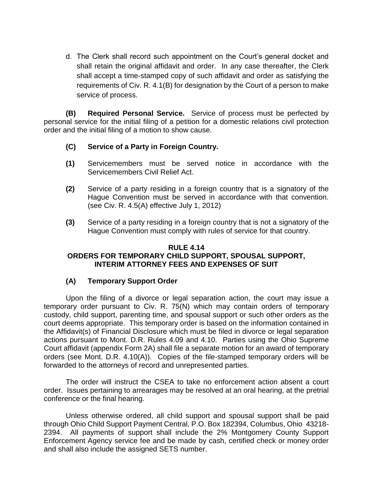d. The Clerk shall record such appointment on the Court's general docket and shall retain the original affidavit and order. In any case thereafter, the Clerk shall accept a time-stamped copy of such affidavit and order as satisfying the requirements of Civ. R. 4.1(B) for designation by the Court of a person to make service of process.

**(B) Required Personal Service.** Service of process must be perfected by personal service for the initial filing of a petition for a domestic relations civil protection order and the initial filing of a motion to show cause.

- **(C) Service of a Party in Foreign Country.**
- **(1)** Servicemembers must be served notice in accordance with the Servicemembers Civil Relief Act.
- **(2)** Service of a party residing in a foreign country that is a signatory of the Hague Convention must be served in accordance with that convention. (see Civ. R. 4.5(A) effective July 1, 2012)
- **(3)** Service of a party residing in a foreign country that is not a signatory of the Hague Convention must comply with rules of service for that country.

#### <span id="page-26-0"></span>**RULE 4.14 ORDERS FOR TEMPORARY CHILD SUPPORT, SPOUSAL SUPPORT, INTERIM ATTORNEY FEES AND EXPENSES OF SUIT**

#### **(A) Temporary Support Order**

Upon the filing of a divorce or legal separation action, the court may issue a temporary order pursuant to Civ. R. 75(N) which may contain orders of temporary custody, child support, parenting time, and spousal support or such other orders as the court deems appropriate. This temporary order is based on the information contained in the Affidavit(s) of Financial Disclosure which must be filed in divorce or legal separation actions pursuant to Mont. D.R. Rules 4.09 and 4.10. Parties using the Ohio Supreme Court affidavit (appendix Form 2A) shall file a separate motion for an award of temporary orders (see Mont. D.R. 4.10(A)). Copies of the file-stamped temporary orders will be forwarded to the attorneys of record and unrepresented parties.

The order will instruct the CSEA to take no enforcement action absent a court order. Issues pertaining to arrearages may be resolved at an oral hearing, at the pretrial conference or the final hearing.

Unless otherwise ordered, all child support and spousal support shall be paid through Ohio Child Support Payment Central, P.O. Box 182394, Columbus, Ohio 43218- 2394. All payments of support shall include the 2% Montgomery County Support Enforcement Agency service fee and be made by cash, certified check or money order and shall also include the assigned SETS number.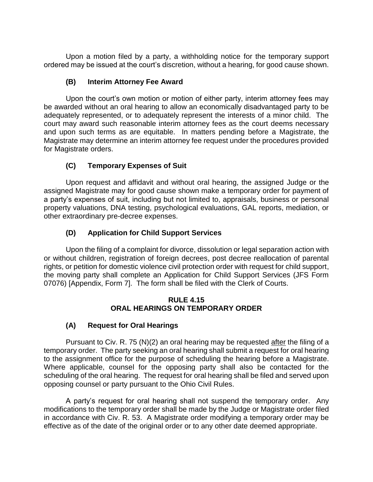Upon a motion filed by a party, a withholding notice for the temporary support ordered may be issued at the court's discretion, without a hearing, for good cause shown.

#### **(B) Interim Attorney Fee Award**

Upon the court's own motion or motion of either party, interim attorney fees may be awarded without an oral hearing to allow an economically disadvantaged party to be adequately represented, or to adequately represent the interests of a minor child. The court may award such reasonable interim attorney fees as the court deems necessary and upon such terms as are equitable. In matters pending before a Magistrate, the Magistrate may determine an interim attorney fee request under the procedures provided for Magistrate orders.

### **(C) Temporary Expenses of Suit**

Upon request and affidavit and without oral hearing, the assigned Judge or the assigned Magistrate may for good cause shown make a temporary order for payment of a party's expenses of suit, including but not limited to, appraisals, business or personal property valuations, DNA testing, psychological evaluations, GAL reports, mediation, or other extraordinary pre-decree expenses.

### **(D) Application for Child Support Services**

Upon the filing of a complaint for divorce, dissolution or legal separation action with or without children, registration of foreign decrees, post decree reallocation of parental rights, or petition for domestic violence civil protection order with request for child support, the moving party shall complete an Application for Child Support Services (JFS Form 07076) [Appendix, Form 7]. The form shall be filed with the Clerk of Courts.

#### **RULE 4.15 ORAL HEARINGS ON TEMPORARY ORDER**

### <span id="page-27-0"></span>**(A) Request for Oral Hearings**

Pursuant to Civ. R. 75 (N)(2) an oral hearing may be requested after the filing of a temporary order. The party seeking an oral hearing shall submit a request for oral hearing to the assignment office for the purpose of scheduling the hearing before a Magistrate. Where applicable, counsel for the opposing party shall also be contacted for the scheduling of the oral hearing. The request for oral hearing shall be filed and served upon opposing counsel or party pursuant to the Ohio Civil Rules.

A party's request for oral hearing shall not suspend the temporary order. Any modifications to the temporary order shall be made by the Judge or Magistrate order filed in accordance with Civ. R. 53. A Magistrate order modifying a temporary order may be effective as of the date of the original order or to any other date deemed appropriate.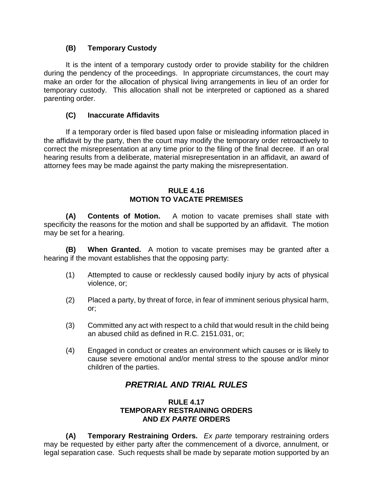#### **(B) Temporary Custody**

It is the intent of a temporary custody order to provide stability for the children during the pendency of the proceedings. In appropriate circumstances, the court may make an order for the allocation of physical living arrangements in lieu of an order for temporary custody. This allocation shall not be interpreted or captioned as a shared parenting order.

#### **(C) Inaccurate Affidavits**

If a temporary order is filed based upon false or misleading information placed in the affidavit by the party, then the court may modify the temporary order retroactively to correct the misrepresentation at any time prior to the filing of the final decree. If an oral hearing results from a deliberate, material misrepresentation in an affidavit, an award of attorney fees may be made against the party making the misrepresentation.

#### **RULE 4.16 MOTION TO VACATE PREMISES**

<span id="page-28-0"></span>**(A) Contents of Motion.** A motion to vacate premises shall state with specificity the reasons for the motion and shall be supported by an affidavit. The motion may be set for a hearing.

**(B) When Granted.** A motion to vacate premises may be granted after a hearing if the movant establishes that the opposing party:

- (1) Attempted to cause or recklessly caused bodily injury by acts of physical violence, or;
- (2) Placed a party, by threat of force, in fear of imminent serious physical harm, or;
- (3) Committed any act with respect to a child that would result in the child being an abused child as defined in R.C. 2151.031, or;
- (4) Engaged in conduct or creates an environment which causes or is likely to cause severe emotional and/or mental stress to the spouse and/or minor children of the parties.

# *PRETRIAL AND TRIAL RULES*

#### **RULE 4.17 TEMPORARY RESTRAINING ORDERS AND** *EX PARTE* **ORDERS**

<span id="page-28-1"></span>**(A) Temporary Restraining Orders.** *Ex parte* temporary restraining orders may be requested by either party after the commencement of a divorce, annulment, or legal separation case. Such requests shall be made by separate motion supported by an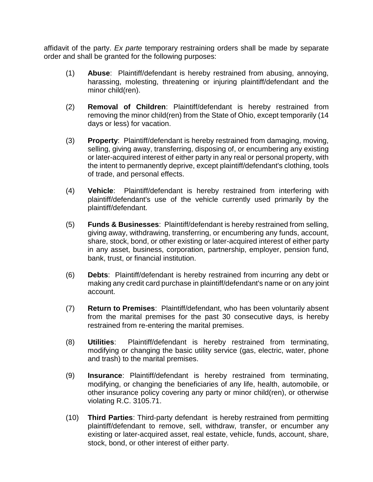affidavit of the party. *Ex parte* temporary restraining orders shall be made by separate order and shall be granted for the following purposes:

- (1) **Abuse**: Plaintiff/defendant is hereby restrained from abusing, annoying, harassing, molesting, threatening or injuring plaintiff/defendant and the minor child(ren).
- (2) **Removal of Children**: Plaintiff/defendant is hereby restrained from removing the minor child(ren) from the State of Ohio, except temporarily (14 days or less) for vacation.
- (3) **Property**: Plaintiff/defendant is hereby restrained from damaging, moving, selling, giving away, transferring, disposing of, or encumbering any existing or later-acquired interest of either party in any real or personal property, with the intent to permanently deprive, except plaintiff/defendant's clothing, tools of trade, and personal effects.
- (4) **Vehicle**: Plaintiff/defendant is hereby restrained from interfering with plaintiff/defendant's use of the vehicle currently used primarily by the plaintiff/defendant.
- (5) **Funds & Businesses**: Plaintiff/defendant is hereby restrained from selling, giving away, withdrawing, transferring, or encumbering any funds, account, share, stock, bond, or other existing or later-acquired interest of either party in any asset, business, corporation, partnership, employer, pension fund, bank, trust, or financial institution.
- (6) **Debts**: Plaintiff/defendant is hereby restrained from incurring any debt or making any credit card purchase in plaintiff/defendant's name or on any joint account.
- (7) **Return to Premises**: Plaintiff/defendant, who has been voluntarily absent from the marital premises for the past 30 consecutive days, is hereby restrained from re-entering the marital premises.
- (8) **Utilities**: Plaintiff/defendant is hereby restrained from terminating, modifying or changing the basic utility service (gas, electric, water, phone and trash) to the marital premises.
- (9) **Insurance**: Plaintiff/defendant is hereby restrained from terminating, modifying, or changing the beneficiaries of any life, health, automobile, or other insurance policy covering any party or minor child(ren), or otherwise violating R.C. 3105.71.
- (10) **Third Parties**: Third-party defendant is hereby restrained from permitting plaintiff/defendant to remove, sell, withdraw, transfer, or encumber any existing or later-acquired asset, real estate, vehicle, funds, account, share, stock, bond, or other interest of either party.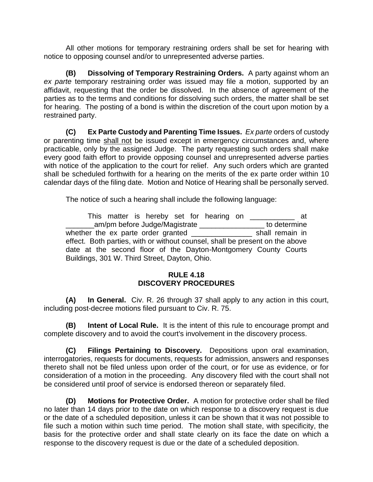All other motions for temporary restraining orders shall be set for hearing with notice to opposing counsel and/or to unrepresented adverse parties.

**(B) Dissolving of Temporary Restraining Orders.** A party against whom an *ex parte* temporary restraining order was issued may file a motion, supported by an affidavit, requesting that the order be dissolved. In the absence of agreement of the parties as to the terms and conditions for dissolving such orders, the matter shall be set for hearing. The posting of a bond is within the discretion of the court upon motion by a restrained party.

**(C) Ex Parte Custody and Parenting Time Issues.** *Ex parte* orders of custody or parenting time shall not be issued except in emergency circumstances and, where practicable, only by the assigned Judge. The party requesting such orders shall make every good faith effort to provide opposing counsel and unrepresented adverse parties with notice of the application to the court for relief. Any such orders which are granted shall be scheduled forthwith for a hearing on the merits of the ex parte order within 10 calendar days of the filing date. Motion and Notice of Hearing shall be personally served.

The notice of such a hearing shall include the following language:

| This matter is hereby set for hearing on                                     | at              |  |  |  |
|------------------------------------------------------------------------------|-----------------|--|--|--|
| am/pm before Judge/Magistrate                                                | to determine    |  |  |  |
| whether the ex parte order granted                                           | shall remain in |  |  |  |
| effect. Both parties, with or without counsel, shall be present on the above |                 |  |  |  |
| date at the second floor of the Dayton-Montgomery County Courts              |                 |  |  |  |
| Buildings, 301 W. Third Street, Dayton, Ohio.                                |                 |  |  |  |

#### **RULE 4.18 DISCOVERY PROCEDURES**

<span id="page-30-0"></span>**(A) In General.** Civ. R. 26 through 37 shall apply to any action in this court, including post-decree motions filed pursuant to Civ. R. 75.

**(B) Intent of Local Rule.** It is the intent of this rule to encourage prompt and complete discovery and to avoid the court's involvement in the discovery process.

**(C) Filings Pertaining to Discovery.** Depositions upon oral examination, interrogatories, requests for documents, requests for admission, answers and responses thereto shall not be filed unless upon order of the court, or for use as evidence, or for consideration of a motion in the proceeding. Any discovery filed with the court shall not be considered until proof of service is endorsed thereon or separately filed.

**(D) Motions for Protective Order.** A motion for protective order shall be filed no later than 14 days prior to the date on which response to a discovery request is due or the date of a scheduled deposition, unless it can be shown that it was not possible to file such a motion within such time period. The motion shall state, with specificity, the basis for the protective order and shall state clearly on its face the date on which a response to the discovery request is due or the date of a scheduled deposition.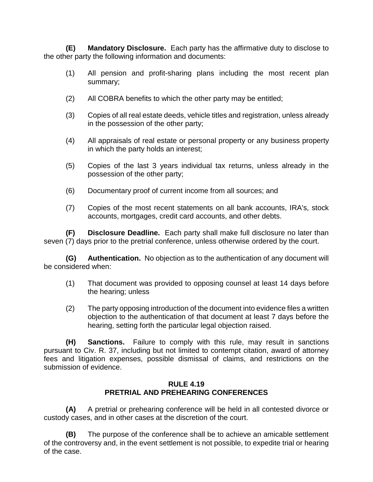**(E) Mandatory Disclosure.** Each party has the affirmative duty to disclose to the other party the following information and documents:

- (1) All pension and profit-sharing plans including the most recent plan summary;
- (2) All COBRA benefits to which the other party may be entitled;
- (3) Copies of all real estate deeds, vehicle titles and registration, unless already in the possession of the other party;
- (4) All appraisals of real estate or personal property or any business property in which the party holds an interest;
- (5) Copies of the last 3 years individual tax returns, unless already in the possession of the other party;
- (6) Documentary proof of current income from all sources; and
- (7) Copies of the most recent statements on all bank accounts, IRA's, stock accounts, mortgages, credit card accounts, and other debts.

**(F) Disclosure Deadline.** Each party shall make full disclosure no later than seven (7) days prior to the pretrial conference, unless otherwise ordered by the court.

**(G) Authentication.** No objection as to the authentication of any document will be considered when:

- (1) That document was provided to opposing counsel at least 14 days before the hearing; unless
- (2) The party opposing introduction of the document into evidence files a written objection to the authentication of that document at least 7 days before the hearing, setting forth the particular legal objection raised.

**(H) Sanctions.** Failure to comply with this rule, may result in sanctions pursuant to Civ. R. 37, including but not limited to contempt citation, award of attorney fees and litigation expenses, possible dismissal of claims, and restrictions on the submission of evidence.

#### **RULE 4.19 PRETRIAL AND PREHEARING CONFERENCES**

<span id="page-31-0"></span>**(A)** A pretrial or prehearing conference will be held in all contested divorce or custody cases, and in other cases at the discretion of the court.

**(B)** The purpose of the conference shall be to achieve an amicable settlement of the controversy and, in the event settlement is not possible, to expedite trial or hearing of the case.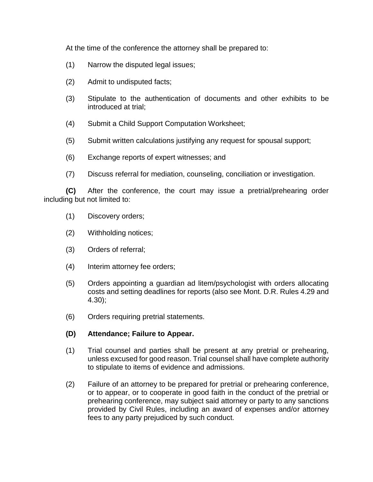At the time of the conference the attorney shall be prepared to:

- (1) Narrow the disputed legal issues;
- (2) Admit to undisputed facts;
- (3) Stipulate to the authentication of documents and other exhibits to be introduced at trial;
- (4) Submit a Child Support Computation Worksheet;
- (5) Submit written calculations justifying any request for spousal support;
- (6) Exchange reports of expert witnesses; and
- (7) Discuss referral for mediation, counseling, conciliation or investigation.

**(C)** After the conference, the court may issue a pretrial/prehearing order including but not limited to:

- (1) Discovery orders;
- (2) Withholding notices;
- (3) Orders of referral;
- (4) Interim attorney fee orders;
- (5) Orders appointing a guardian ad litem/psychologist with orders allocating costs and setting deadlines for reports (also see Mont. D.R. Rules 4.29 and 4.30);
- (6) Orders requiring pretrial statements.

#### **(D) Attendance; Failure to Appear.**

- (1) Trial counsel and parties shall be present at any pretrial or prehearing, unless excused for good reason. Trial counsel shall have complete authority to stipulate to items of evidence and admissions.
- (2) Failure of an attorney to be prepared for pretrial or prehearing conference, or to appear, or to cooperate in good faith in the conduct of the pretrial or prehearing conference, may subject said attorney or party to any sanctions provided by Civil Rules, including an award of expenses and/or attorney fees to any party prejudiced by such conduct.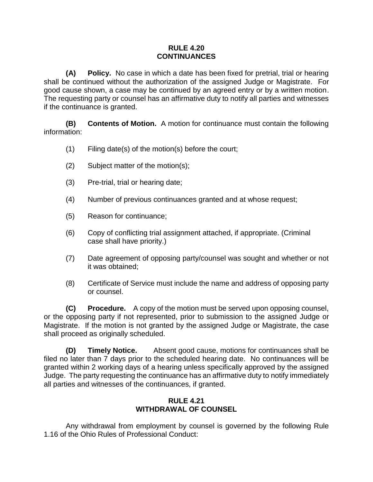#### **RULE 4.20 CONTINUANCES**

<span id="page-33-0"></span>**(A) Policy.** No case in which a date has been fixed for pretrial, trial or hearing shall be continued without the authorization of the assigned Judge or Magistrate. For good cause shown, a case may be continued by an agreed entry or by a written motion. The requesting party or counsel has an affirmative duty to notify all parties and witnesses if the continuance is granted.

**(B) Contents of Motion.** A motion for continuance must contain the following information:

- (1) Filing date(s) of the motion(s) before the court;
- (2) Subject matter of the motion(s);
- (3) Pre-trial, trial or hearing date;
- (4) Number of previous continuances granted and at whose request;
- (5) Reason for continuance;
- (6) Copy of conflicting trial assignment attached, if appropriate. (Criminal case shall have priority.)
- (7) Date agreement of opposing party/counsel was sought and whether or not it was obtained;
- (8) Certificate of Service must include the name and address of opposing party or counsel.

**(C) Procedure.** A copy of the motion must be served upon opposing counsel, or the opposing party if not represented, prior to submission to the assigned Judge or Magistrate. If the motion is not granted by the assigned Judge or Magistrate, the case shall proceed as originally scheduled.

**(D) Timely Notice.** Absent good cause, motions for continuances shall be filed no later than 7 days prior to the scheduled hearing date. No continuances will be granted within 2 working days of a hearing unless specifically approved by the assigned Judge. The party requesting the continuance has an affirmative duty to notify immediately all parties and witnesses of the continuances, if granted.

#### **RULE 4.21 WITHDRAWAL OF COUNSEL**

<span id="page-33-1"></span>Any withdrawal from employment by counsel is governed by the following Rule 1.16 of the Ohio Rules of Professional Conduct: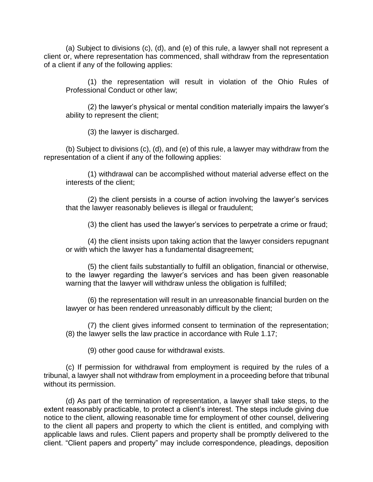(a) Subject to divisions (c), (d), and (e) of this rule, a lawyer shall not represent a client or, where representation has commenced, shall withdraw from the representation of a client if any of the following applies:

(1) the representation will result in violation of the Ohio Rules of Professional Conduct or other law;

(2) the lawyer's physical or mental condition materially impairs the lawyer's ability to represent the client;

(3) the lawyer is discharged.

(b) Subject to divisions (c), (d), and (e) of this rule, a lawyer may withdraw from the representation of a client if any of the following applies:

(1) withdrawal can be accomplished without material adverse effect on the interests of the client;

(2) the client persists in a course of action involving the lawyer's services that the lawyer reasonably believes is illegal or fraudulent;

(3) the client has used the lawyer's services to perpetrate a crime or fraud;

(4) the client insists upon taking action that the lawyer considers repugnant or with which the lawyer has a fundamental disagreement;

(5) the client fails substantially to fulfill an obligation, financial or otherwise, to the lawyer regarding the lawyer's services and has been given reasonable warning that the lawyer will withdraw unless the obligation is fulfilled;

(6) the representation will result in an unreasonable financial burden on the lawyer or has been rendered unreasonably difficult by the client;

(7) the client gives informed consent to termination of the representation; (8) the lawyer sells the law practice in accordance with Rule 1.17;

(9) other good cause for withdrawal exists.

(c) If permission for withdrawal from employment is required by the rules of a tribunal, a lawyer shall not withdraw from employment in a proceeding before that tribunal without its permission.

(d) As part of the termination of representation, a lawyer shall take steps, to the extent reasonably practicable, to protect a client's interest. The steps include giving due notice to the client, allowing reasonable time for employment of other counsel, delivering to the client all papers and property to which the client is entitled, and complying with applicable laws and rules. Client papers and property shall be promptly delivered to the client. "Client papers and property" may include correspondence, pleadings, deposition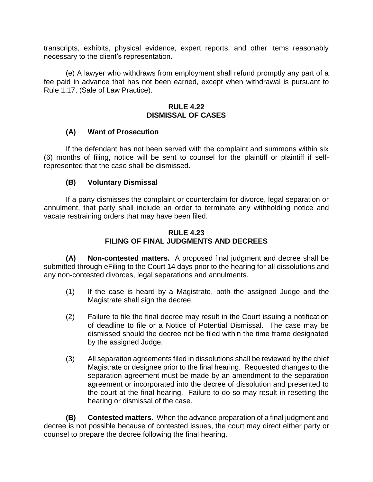transcripts, exhibits, physical evidence, expert reports, and other items reasonably necessary to the client's representation.

(e) A lawyer who withdraws from employment shall refund promptly any part of a fee paid in advance that has not been earned, except when withdrawal is pursuant to Rule 1.17, (Sale of Law Practice).

#### **RULE 4.22 DISMISSAL OF CASES**

#### <span id="page-35-0"></span>**(A) Want of Prosecution**

If the defendant has not been served with the complaint and summons within six (6) months of filing, notice will be sent to counsel for the plaintiff or plaintiff if selfrepresented that the case shall be dismissed.

#### **(B) Voluntary Dismissal**

If a party dismisses the complaint or counterclaim for divorce, legal separation or annulment, that party shall include an order to terminate any withholding notice and vacate restraining orders that may have been filed.

#### **RULE 4.23 FILING OF FINAL JUDGMENTS AND DECREES**

<span id="page-35-1"></span>**(A) Non-contested matters.** A proposed final judgment and decree shall be submitted through eFiling to the Court 14 days prior to the hearing for all dissolutions and any non-contested divorces, legal separations and annulments.

- (1) If the case is heard by a Magistrate, both the assigned Judge and the Magistrate shall sign the decree.
- (2) Failure to file the final decree may result in the Court issuing a notification of deadline to file or a Notice of Potential Dismissal. The case may be dismissed should the decree not be filed within the time frame designated by the assigned Judge.
- (3) All separation agreements filed in dissolutions shall be reviewed by the chief Magistrate or designee prior to the final hearing. Requested changes to the separation agreement must be made by an amendment to the separation agreement or incorporated into the decree of dissolution and presented to the court at the final hearing. Failure to do so may result in resetting the hearing or dismissal of the case.

**(B) Contested matters.** When the advance preparation of a final judgment and decree is not possible because of contested issues, the court may direct either party or counsel to prepare the decree following the final hearing.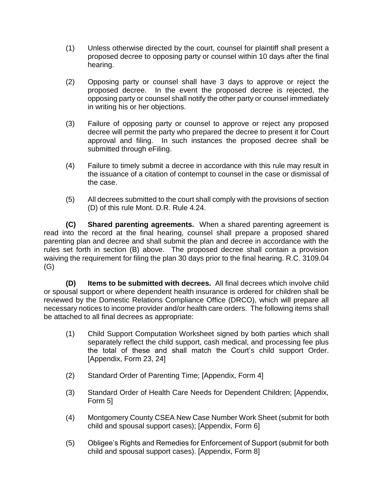- (1) Unless otherwise directed by the court, counsel for plaintiff shall present a proposed decree to opposing party or counsel within 10 days after the final hearing.
- (2) Opposing party or counsel shall have 3 days to approve or reject the proposed decree. In the event the proposed decree is rejected, the opposing party or counsel shall notify the other party or counsel immediately in writing his or her objections.
- (3) Failure of opposing party or counsel to approve or reject any proposed decree will permit the party who prepared the decree to present it for Court approval and filing. In such instances the proposed decree shall be submitted through eFiling.
- (4) Failure to timely submit a decree in accordance with this rule may result in the issuance of a citation of contempt to counsel in the case or dismissal of the case.
- (5) All decrees submitted to the court shall comply with the provisions of section (D) of this rule Mont. D.R. Rule 4.24.

**(C)** Shared parenting agreements. When a shared parenting agreement is read into the record at the final hearing, counsel shall prepare a proposed shared parenting plan and decree and shall submit the plan and decree in accordance with the rules set forth in section (B) above. The proposed decree shall contain a provision waiving the requirement for filing the plan 30 days prior to the final hearing. R.C. 3109.04 (G)

**(D) Items to be submitted with decrees.** All final decrees which involve child or spousal support or where dependent health insurance is ordered for children shall be reviewed by the Domestic Relations Compliance Office (DRCO), which will prepare all necessary notices to income provider and/or health care orders. The following items shall be attached to all final decrees as appropriate:

- (1) Child Support Computation Worksheet signed by both parties which shall separately reflect the child support, cash medical, and processing fee plus the total of these and shall match the Court's child support Order. [Appendix, Form 23, 24]
- (2) Standard Order of Parenting Time; [Appendix, Form 4]
- (3) Standard Order of Health Care Needs for Dependent Children; [Appendix, Form 5]
- (4) Montgomery County CSEA New Case Number Work Sheet (submit for both child and spousal support cases); [Appendix, Form 6]
- (5) Obligee's Rights and Remedies for Enforcement of Support (submit for both child and spousal support cases). [Appendix, Form 8]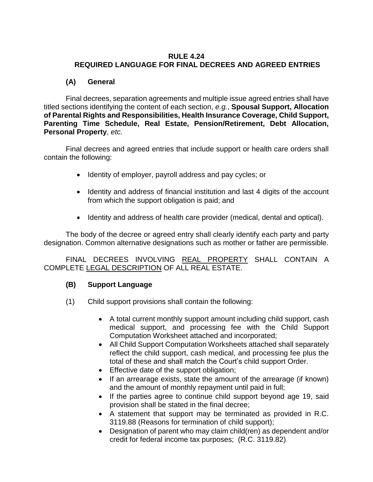#### **RULE 4.24 REQUIRED LANGUAGE FOR FINAL DECREES AND AGREED ENTRIES**

### **(A) General**

Final decrees, separation agreements and multiple issue agreed entries shall have titled sections identifying the content of each section, *e.g.*, **Spousal Support, Allocation of Parental Rights and Responsibilities, Health Insurance Coverage, Child Support, Parenting Time Schedule, Real Estate, Pension/Retirement, Debt Allocation, Personal Property**, *etc.*

Final decrees and agreed entries that include support or health care orders shall contain the following:

- Identity of employer, payroll address and pay cycles; or
- Identity and address of financial institution and last 4 digits of the account from which the support obligation is paid; and
- Identity and address of health care provider (medical, dental and optical).

The body of the decree or agreed entry shall clearly identify each party and party designation. Common alternative designations such as mother or father are permissible.

FINAL DECREES INVOLVING REAL PROPERTY SHALL CONTAIN A COMPLETE LEGAL DESCRIPTION OF ALL REAL ESTATE.

### **(B) Support Language**

- (1) Child support provisions shall contain the following:
	- A total current monthly support amount including child support, cash medical support, and processing fee with the Child Support Computation Worksheet attached and incorporated;
	- All Child Support Computation Worksheets attached shall separately reflect the child support, cash medical, and processing fee plus the total of these and shall match the Court's child support Order.
	- Effective date of the support obligation;
	- $\bullet$  If an arrearage exists, state the amount of the arrearage (if known) and the amount of monthly repayment until paid in full;
	- If the parties agree to continue child support beyond age 19, said provision shall be stated in the final decree;
	- A statement that support may be terminated as provided in R.C. 3119.88 (Reasons for termination of child support);
	- Designation of parent who may claim child(ren) as dependent and/or credit for federal income tax purposes; (R.C. 3119.82)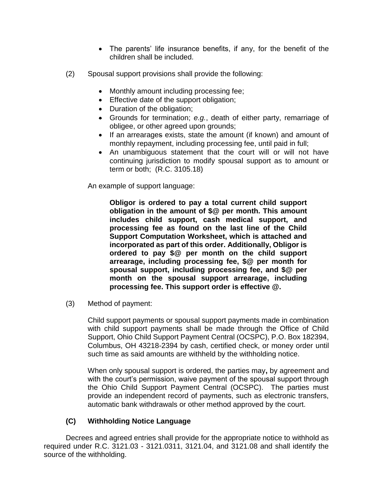- The parents' life insurance benefits, if any, for the benefit of the children shall be included.
- (2) Spousal support provisions shall provide the following:
	- Monthly amount including processing fee;
	- Effective date of the support obligation;
	- Duration of the obligation;
	- Grounds for termination; *e.g.*, death of either party, remarriage of obligee, or other agreed upon grounds;
	- If an arrearages exists, state the amount (if known) and amount of monthly repayment, including processing fee, until paid in full;
	- An unambiguous statement that the court will or will not have continuing jurisdiction to modify spousal support as to amount or term or both; (R.C. 3105.18)

An example of support language:

**Obligor is ordered to pay a total current child support obligation in the amount of \$@ per month. This amount includes child support, cash medical support, and processing fee as found on the last line of the Child Support Computation Worksheet, which is attached and incorporated as part of this order. Additionally, Obligor is ordered to pay \$@ per month on the child support arrearage, including processing fee, \$@ per month for spousal support, including processing fee, and \$@ per month on the spousal support arrearage, including processing fee. This support order is effective @.**

(3) Method of payment:

Child support payments or spousal support payments made in combination with child support payments shall be made through the Office of Child Support, Ohio Child Support Payment Central (OCSPC), P.O. Box 182394, Columbus, OH 43218-2394 by cash, certified check, or money order until such time as said amounts are withheld by the withholding notice.

When only spousal support is ordered, the parties may**,** by agreement and with the court's permission, waive payment of the spousal support through the Ohio Child Support Payment Central (OCSPC). The parties must provide an independent record of payments, such as electronic transfers, automatic bank withdrawals or other method approved by the court.

### **(C) Withholding Notice Language**

Decrees and agreed entries shall provide for the appropriate notice to withhold as required under R.C. 3121.03 - 3121.0311, 3121.04, and 3121.08 and shall identify the source of the withholding.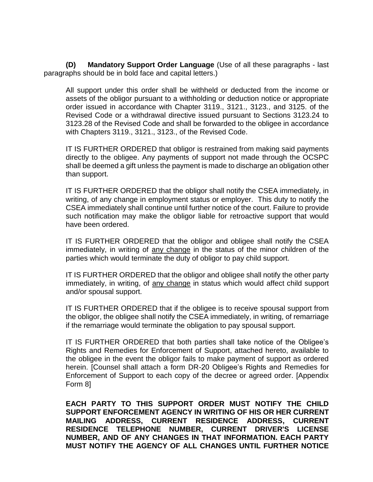**(D) Mandatory Support Order Language** (Use of all these paragraphs - last paragraphs should be in bold face and capital letters.)

All support under this order shall be withheld or deducted from the income or assets of the obligor pursuant to a withholding or deduction notice or appropriate order issued in accordance with Chapter 3119., 3121., 3123., and 3125. of the Revised Code or a withdrawal directive issued pursuant to Sections 3123.24 to 3123.28 of the Revised Code and shall be forwarded to the obligee in accordance with Chapters 3119., 3121., 3123., of the Revised Code.

IT IS FURTHER ORDERED that obligor is restrained from making said payments directly to the obligee. Any payments of support not made through the OCSPC shall be deemed a gift unless the payment is made to discharge an obligation other than support.

IT IS FURTHER ORDERED that the obligor shall notify the CSEA immediately, in writing, of any change in employment status or employer. This duty to notify the CSEA immediately shall continue until further notice of the court. Failure to provide such notification may make the obligor liable for retroactive support that would have been ordered.

IT IS FURTHER ORDERED that the obligor and obligee shall notify the CSEA immediately, in writing of any change in the status of the minor children of the parties which would terminate the duty of obligor to pay child support.

IT IS FURTHER ORDERED that the obligor and obligee shall notify the other party immediately, in writing, of any change in status which would affect child support and/or spousal support.

IT IS FURTHER ORDERED that if the obligee is to receive spousal support from the obligor, the obligee shall notify the CSEA immediately, in writing, of remarriage if the remarriage would terminate the obligation to pay spousal support.

IT IS FURTHER ORDERED that both parties shall take notice of the Obligee's Rights and Remedies for Enforcement of Support, attached hereto, available to the obligee in the event the obligor fails to make payment of support as ordered herein. [Counsel shall attach a form DR-20 Obligee's Rights and Remedies for Enforcement of Support to each copy of the decree or agreed order. [Appendix Form 8]

**EACH PARTY TO THIS SUPPORT ORDER MUST NOTIFY THE CHILD SUPPORT ENFORCEMENT AGENCY IN WRITING OF HIS OR HER CURRENT MAILING ADDRESS, CURRENT RESIDENCE ADDRESS, CURRENT RESIDENCE TELEPHONE NUMBER, CURRENT DRIVER'S LICENSE NUMBER, AND OF ANY CHANGES IN THAT INFORMATION. EACH PARTY MUST NOTIFY THE AGENCY OF ALL CHANGES UNTIL FURTHER NOTICE**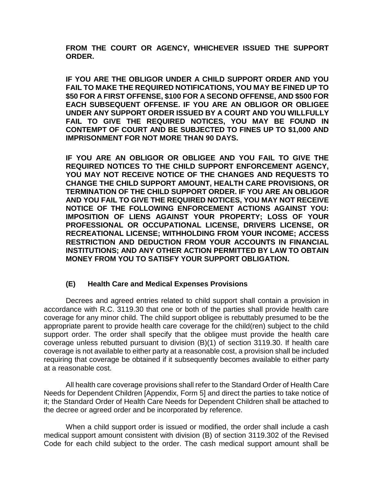**FROM THE COURT OR AGENCY, WHICHEVER ISSUED THE SUPPORT ORDER.**

**IF YOU ARE THE OBLIGOR UNDER A CHILD SUPPORT ORDER AND YOU FAIL TO MAKE THE REQUIRED NOTIFICATIONS, YOU MAY BE FINED UP TO \$50 FOR A FIRST OFFENSE, \$100 FOR A SECOND OFFENSE, AND \$500 FOR EACH SUBSEQUENT OFFENSE. IF YOU ARE AN OBLIGOR OR OBLIGEE UNDER ANY SUPPORT ORDER ISSUED BY A COURT AND YOU WILLFULLY FAIL TO GIVE THE REQUIRED NOTICES, YOU MAY BE FOUND IN CONTEMPT OF COURT AND BE SUBJECTED TO FINES UP TO \$1,000 AND IMPRISONMENT FOR NOT MORE THAN 90 DAYS.**

**IF YOU ARE AN OBLIGOR OR OBLIGEE AND YOU FAIL TO GIVE THE REQUIRED NOTICES TO THE CHILD SUPPORT ENFORCEMENT AGENCY, YOU MAY NOT RECEIVE NOTICE OF THE CHANGES AND REQUESTS TO CHANGE THE CHILD SUPPORT AMOUNT, HEALTH CARE PROVISIONS, OR TERMINATION OF THE CHILD SUPPORT ORDER. IF YOU ARE AN OBLIGOR AND YOU FAIL TO GIVE THE REQUIRED NOTICES, YOU MAY NOT RECEIVE NOTICE OF THE FOLLOWING ENFORCEMENT ACTIONS AGAINST YOU: IMPOSITION OF LIENS AGAINST YOUR PROPERTY; LOSS OF YOUR PROFESSIONAL OR OCCUPATIONAL LICENSE, DRIVERS LICENSE, OR RECREATIONAL LICENSE; WITHHOLDING FROM YOUR INCOME; ACCESS RESTRICTION AND DEDUCTION FROM YOUR ACCOUNTS IN FINANCIAL INSTITUTIONS; AND ANY OTHER ACTION PERMITTED BY LAW TO OBTAIN MONEY FROM YOU TO SATISFY YOUR SUPPORT OBLIGATION.**

#### **(E) Health Care and Medical Expenses Provisions**

Decrees and agreed entries related to child support shall contain a provision in accordance with R.C. 3119.30 that one or both of the parties shall provide health care coverage for any minor child. The child support obligee is rebuttably presumed to be the appropriate parent to provide health care coverage for the child(ren) subject to the child support order. The order shall specify that the obligee must provide the health care coverage unless rebutted pursuant to division (B)(1) of section 3119.30. If health care coverage is not available to either party at a reasonable cost, a provision shall be included requiring that coverage be obtained if it subsequently becomes available to either party at a reasonable cost.

All health care coverage provisions shall refer to the Standard Order of Health Care Needs for Dependent Children [Appendix, Form 5] and direct the parties to take notice of it; the Standard Order of Health Care Needs for Dependent Children shall be attached to the decree or agreed order and be incorporated by reference.

When a child support order is issued or modified, the order shall include a cash medical support amount consistent with division (B) of section 3119.302 of the Revised Code for each child subject to the order. The cash medical support amount shall be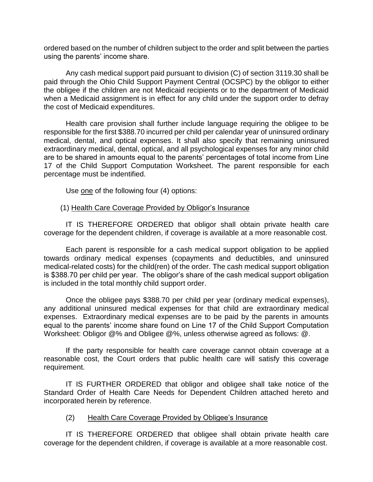ordered based on the number of children subject to the order and split between the parties using the parents' income share.

Any cash medical support paid pursuant to division (C) of section 3119.30 shall be paid through the Ohio Child Support Payment Central (OCSPC) by the obligor to either the obligee if the children are not Medicaid recipients or to the department of Medicaid when a Medicaid assignment is in effect for any child under the support order to defray the cost of Medicaid expenditures.

Health care provision shall further include language requiring the obligee to be responsible for the first \$388.70 incurred per child per calendar year of uninsured ordinary medical, dental, and optical expenses. It shall also specify that remaining uninsured extraordinary medical, dental, optical, and all psychological expenses for any minor child are to be shared in amounts equal to the parents' percentages of total income from Line 17 of the Child Support Computation Worksheet. The parent responsible for each percentage must be indentified.

Use one of the following four (4) options:

#### (1) Health Care Coverage Provided by Obligor's Insurance

IT IS THEREFORE ORDERED that obligor shall obtain private health care coverage for the dependent children, if coverage is available at a more reasonable cost.

Each parent is responsible for a cash medical support obligation to be applied towards ordinary medical expenses (copayments and deductibles, and uninsured medical-related costs) for the child(ren) of the order. The cash medical support obligation is \$388.70 per child per year. The obligor's share of the cash medical support obligation is included in the total monthly child support order.

Once the obligee pays \$388.70 per child per year (ordinary medical expenses), any additional uninsured medical expenses for that child are extraordinary medical expenses. Extraordinary medical expenses are to be paid by the parents in amounts equal to the parents' income share found on Line 17 of the Child Support Computation Worksheet: Obligor @% and Obligee @%, unless otherwise agreed as follows: @.

If the party responsible for health care coverage cannot obtain coverage at a reasonable cost, the Court orders that public health care will satisfy this coverage requirement.

IT IS FURTHER ORDERED that obligor and obligee shall take notice of the Standard Order of Health Care Needs for Dependent Children attached hereto and incorporated herein by reference.

#### (2) Health Care Coverage Provided by Obligee's Insurance

IT IS THEREFORE ORDERED that obligee shall obtain private health care coverage for the dependent children, if coverage is available at a more reasonable cost.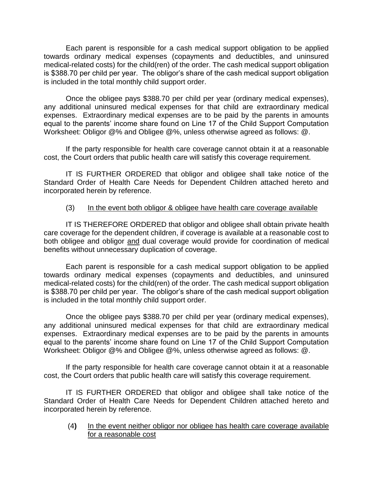Each parent is responsible for a cash medical support obligation to be applied towards ordinary medical expenses (copayments and deductibles, and uninsured medical-related costs) for the child(ren) of the order. The cash medical support obligation is \$388.70 per child per year. The obligor's share of the cash medical support obligation is included in the total monthly child support order.

Once the obligee pays \$388.70 per child per year (ordinary medical expenses), any additional uninsured medical expenses for that child are extraordinary medical expenses. Extraordinary medical expenses are to be paid by the parents in amounts equal to the parents' income share found on Line 17 of the Child Support Computation Worksheet: Obligor @% and Obligee @%, unless otherwise agreed as follows: @.

If the party responsible for health care coverage cannot obtain it at a reasonable cost, the Court orders that public health care will satisfy this coverage requirement.

IT IS FURTHER ORDERED that obligor and obligee shall take notice of the Standard Order of Health Care Needs for Dependent Children attached hereto and incorporated herein by reference.

#### (3) In the event both obligor & obligee have health care coverage available

IT IS THEREFORE ORDERED that obligor and obligee shall obtain private health care coverage for the dependent children, if coverage is available at a reasonable cost to both obligee and obligor and dual coverage would provide for coordination of medical benefits without unnecessary duplication of coverage.

Each parent is responsible for a cash medical support obligation to be applied towards ordinary medical expenses (copayments and deductibles, and uninsured medical-related costs) for the child(ren) of the order. The cash medical support obligation is \$388.70 per child per year. The obligor's share of the cash medical support obligation is included in the total monthly child support order.

Once the obligee pays \$388.70 per child per year (ordinary medical expenses), any additional uninsured medical expenses for that child are extraordinary medical expenses. Extraordinary medical expenses are to be paid by the parents in amounts equal to the parents' income share found on Line 17 of the Child Support Computation Worksheet: Obligor @% and Obligee @%, unless otherwise agreed as follows: @.

If the party responsible for health care coverage cannot obtain it at a reasonable cost, the Court orders that public health care will satisfy this coverage requirement.

IT IS FURTHER ORDERED that obligor and obligee shall take notice of the Standard Order of Health Care Needs for Dependent Children attached hereto and incorporated herein by reference.

(4**)** In the event neither obligor nor obligee has health care coverage available for a reasonable cost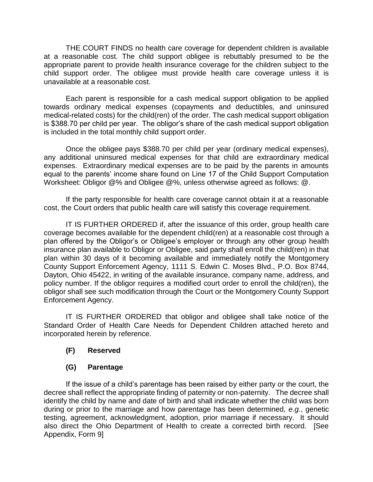THE COURT FINDS no health care coverage for dependent children is available at a reasonable cost. The child support obligee is rebuttably presumed to be the appropriate parent to provide health insurance coverage for the children subject to the child support order. The obligee must provide health care coverage unless it is unavailable at a reasonable cost.

Each parent is responsible for a cash medical support obligation to be applied towards ordinary medical expenses (copayments and deductibles, and uninsured medical-related costs) for the child(ren) of the order. The cash medical support obligation is \$388.70 per child per year. The obligor's share of the cash medical support obligation is included in the total monthly child support order.

Once the obligee pays \$388.70 per child per year (ordinary medical expenses), any additional uninsured medical expenses for that child are extraordinary medical expenses. Extraordinary medical expenses are to be paid by the parents in amounts equal to the parents' income share found on Line 17 of the Child Support Computation Worksheet: Obligor @% and Obligee @%, unless otherwise agreed as follows: @.

If the party responsible for health care coverage cannot obtain it at a reasonable cost, the Court orders that public health care will satisfy this coverage requirement.

IT IS FURTHER ORDERED if, after the issuance of this order, group health care coverage becomes available for the dependent child(ren) at a reasonable cost through a plan offered by the Obligor's or Obligee's employer or through any other group health insurance plan available to Obligor or Obligee, said party shall enroll the child(ren) in that plan within 30 days of it becoming available and immediately notify the Montgomery County Support Enforcement Agency, 1111 S. Edwin C. Moses Blvd., P.O. Box 8744, Dayton, Ohio 45422, in writing of the available insurance, company name, address, and policy number. If the obligor requires a modified court order to enroll the child(ren), the obligor shall see such modification through the Court or the Montgomery County Support Enforcement Agency.

IT IS FURTHER ORDERED that obligor and obligee shall take notice of the Standard Order of Health Care Needs for Dependent Children attached hereto and incorporated herein by reference.

### **(F) Reserved**

#### **(G) Parentage**

If the issue of a child's parentage has been raised by either party or the court, the decree shall reflect the appropriate finding of paternity or non-paternity. The decree shall identify the child by name and date of birth and shall indicate whether the child was born during or prior to the marriage and how parentage has been determined, *e.g.*, genetic testing, agreement, acknowledgment, adoption, prior marriage if necessary. It should also direct the Ohio Department of Health to create a corrected birth record. [See Appendix, Form 9]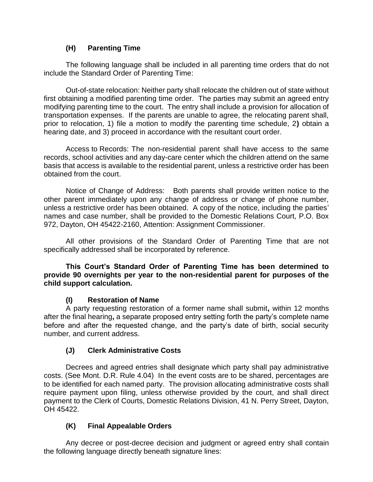### **(H) Parenting Time**

The following language shall be included in all parenting time orders that do not include the Standard Order of Parenting Time:

Out-of-state relocation: Neither party shall relocate the children out of state without first obtaining a modified parenting time order. The parties may submit an agreed entry modifying parenting time to the court. The entry shall include a provision for allocation of transportation expenses. If the parents are unable to agree, the relocating parent shall, prior to relocation, 1) file a motion to modify the parenting time schedule, 2**)** obtain a hearing date, and 3) proceed in accordance with the resultant court order.

Access to Records: The non-residential parent shall have access to the same records, school activities and any day-care center which the children attend on the same basis that access is available to the residential parent, unless a restrictive order has been obtained from the court.

Notice of Change of Address: Both parents shall provide written notice to the other parent immediately upon any change of address or change of phone number, unless a restrictive order has been obtained. A copy of the notice, including the parties' names and case number, shall be provided to the Domestic Relations Court, P.O. Box 972, Dayton, OH 45422-2160, Attention: Assignment Commissioner.

All other provisions of the Standard Order of Parenting Time that are not specifically addressed shall be incorporated by reference.

**This Court's Standard Order of Parenting Time has been determined to provide 90 overnights per year to the non-residential parent for purposes of the child support calculation.**

### **(I) Restoration of Name**

A party requesting restoration of a former name shall submit**,** within 12 months after the final hearing**,** a separate proposed entry setting forth the party's complete name before and after the requested change, and the party's date of birth, social security number, and current address.

### **(J) Clerk Administrative Costs**

Decrees and agreed entries shall designate which party shall pay administrative costs. (See Mont. D.R. Rule 4.04) In the event costs are to be shared, percentages are to be identified for each named party. The provision allocating administrative costs shall require payment upon filing, unless otherwise provided by the court, and shall direct payment to the Clerk of Courts, Domestic Relations Division, 41 N. Perry Street, Dayton, OH 45422.

### **(K) Final Appealable Orders**

Any decree or post-decree decision and judgment or agreed entry shall contain the following language directly beneath signature lines: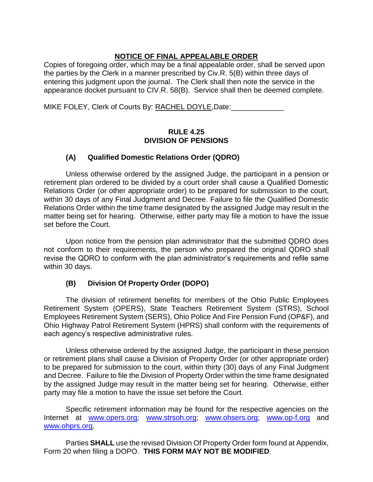### **NOTICE OF FINAL APPEALABLE ORDER**

Copies of foregoing order, which may be a final appealable order, shall be served upon the parties by the Clerk in a manner prescribed by Civ.R. 5(B) within three days of entering this judgment upon the journal. The Clerk shall then note the service in the appearance docket pursuant to CIV.R. 58(B). Service shall then be deemed complete.

MIKE FOLEY, Clerk of Courts By: RACHEL DOYLE, Date:

#### **RULE 4.25 DIVISION OF PENSIONS**

### **(A) Qualified Domestic Relations Order (QDRO)**

Unless otherwise ordered by the assigned Judge, the participant in a pension or retirement plan ordered to be divided by a court order shall cause a Qualified Domestic Relations Order (or other appropriate order) to be prepared for submission to the court, within 30 days of any Final Judgment and Decree. Failure to file the Qualified Domestic Relations Order within the time frame designated by the assigned Judge may result in the matter being set for hearing. Otherwise, either party may file a motion to have the issue set before the Court.

Upon notice from the pension plan administrator that the submitted QDRO does not conform to their requirements, the person who prepared the original QDRO shall revise the QDRO to conform with the plan administrator's requirements and refile same within 30 days.

# **(B) Division Of Property Order (DOPO)**

The division of retirement benefits for members of the Ohio Public Employees Retirement System (OPERS), State Teachers Retirement System (STRS), School Employees Retirement System (SERS), Ohio Police And Fire Pension Fund (OP&F), and Ohio Highway Patrol Retirement System (HPRS) shall conform with the requirements of each agency's respective administrative rules.

Unless otherwise ordered by the assigned Judge, the participant in these pension or retirement plans shall cause a Division of Property Order (or other appropriate order) to be prepared for submission to the court, within thirty (30) days of any Final Judgment and Decree. Failure to file the Division of Property Order within the time frame designated by the assigned Judge may result in the matter being set for hearing. Otherwise, either party may file a motion to have the issue set before the Court.

Specific retirement information may be found for the respective agencies on the Internet at [www.opers.org;](http://www.opers.org/) [www.strsoh.org;](http://www.strsoh.org/) [www.ohsers.org;](http://www.ohsers.org/) [www.op-f.org](http://www.op-f.org/) and [www.ohprs.org.](http://www.ohprs.org/)

Parties **SHALL** use the revised Division Of Property Order form found at Appendix, Form 20 when filing a DOPO. **THIS FORM MAY NOT BE MODIFIED**.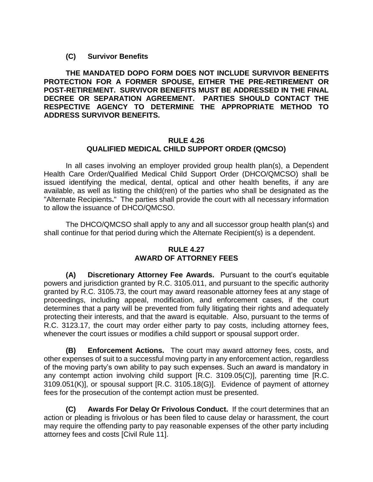**(C) Survivor Benefits**

**THE MANDATED DOPO FORM DOES NOT INCLUDE SURVIVOR BENEFITS PROTECTION FOR A FORMER SPOUSE, EITHER THE PRE-RETIREMENT OR POST-RETIREMENT. SURVIVOR BENEFITS MUST BE ADDRESSED IN THE FINAL DECREE OR SEPARATION AGREEMENT. PARTIES SHOULD CONTACT THE RESPECTIVE AGENCY TO DETERMINE THE APPROPRIATE METHOD TO ADDRESS SURVIVOR BENEFITS.**

#### **RULE 4.26 QUALIFIED MEDICAL CHILD SUPPORT ORDER (QMCSO)**

In all cases involving an employer provided group health plan(s), a Dependent Health Care Order/Qualified Medical Child Support Order (DHCO/QMCSO) shall be issued identifying the medical, dental, optical and other health benefits, if any are available, as well as listing the child(ren) of the parties who shall be designated as the "Alternate Recipients**.**" The parties shall provide the court with all necessary information to allow the issuance of DHCO/QMCSO.

The DHCO/QMCSO shall apply to any and all successor group health plan(s) and shall continue for that period during which the Alternate Recipient(s) is a dependent.

#### **RULE 4.27 AWARD OF ATTORNEY FEES**

**(A) Discretionary Attorney Fee Awards.** Pursuant to the court's equitable powers and jurisdiction granted by R.C. 3105.011, and pursuant to the specific authority granted by R.C. 3105.73, the court may award reasonable attorney fees at any stage of proceedings, including appeal, modification, and enforcement cases, if the court determines that a party will be prevented from fully litigating their rights and adequately protecting their interests, and that the award is equitable. Also, pursuant to the terms of R.C. 3123.17, the court may order either party to pay costs, including attorney fees, whenever the court issues or modifies a child support or spousal support order.

 **(B) Enforcement Actions.** The court may award attorney fees, costs, and other expenses of suit to a successful moving party in any enforcement action, regardless of the moving party's own ability to pay such expenses. Such an award is mandatory in any contempt action involving child support [R.C. 3109.05(C)], parenting time [R.C. 3109.051(K)], or spousal support [R.C. 3105.18(G)]. Evidence of payment of attorney fees for the prosecution of the contempt action must be presented.

**(C) Awards For Delay Or Frivolous Conduct.** If the court determines that an action or pleading is frivolous or has been filed to cause delay or harassment, the court may require the offending party to pay reasonable expenses of the other party including attorney fees and costs [Civil Rule 11].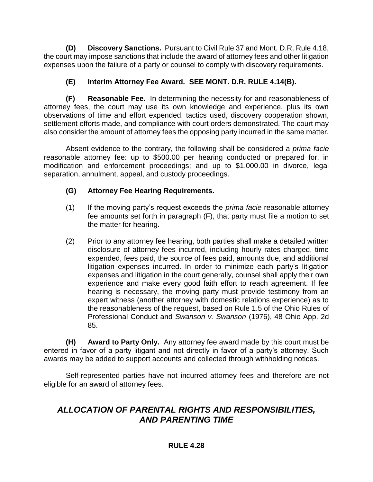**(D) Discovery Sanctions.** Pursuant to Civil Rule 37 and Mont. D.R. Rule 4.18, the court may impose sanctions that include the award of attorney fees and other litigation expenses upon the failure of a party or counsel to comply with discovery requirements.

### **(E) Interim Attorney Fee Award. SEE MONT. D.R. RULE 4.14(B).**

**(F) Reasonable Fee.** In determining the necessity for and reasonableness of attorney fees, the court may use its own knowledge and experience, plus its own observations of time and effort expended, tactics used, discovery cooperation shown, settlement efforts made, and compliance with court orders demonstrated. The court may also consider the amount of attorney fees the opposing party incurred in the same matter.

Absent evidence to the contrary, the following shall be considered a *prima facie* reasonable attorney fee: up to \$500.00 per hearing conducted or prepared for, in modification and enforcement proceedings; and up to \$1,000.00 in divorce, legal separation, annulment, appeal, and custody proceedings.

### **(G) Attorney Fee Hearing Requirements.**

- (1) If the moving party's request exceeds the *prima facie* reasonable attorney fee amounts set forth in paragraph (F), that party must file a motion to set the matter for hearing.
- (2) Prior to any attorney fee hearing, both parties shall make a detailed written disclosure of attorney fees incurred, including hourly rates charged, time expended, fees paid, the source of fees paid, amounts due, and additional litigation expenses incurred. In order to minimize each party's litigation expenses and litigation in the court generally, counsel shall apply their own experience and make every good faith effort to reach agreement. If fee hearing is necessary, the moving party must provide testimony from an expert witness (another attorney with domestic relations experience) as to the reasonableness of the request, based on Rule 1.5 of the Ohio Rules of Professional Conduct and *Swanson v. Swanson* (1976), 48 Ohio App. 2d 85.

**(H) Award to Party Only.** Any attorney fee award made by this court must be entered in favor of a party litigant and not directly in favor of a party's attorney. Such awards may be added to support accounts and collected through withholding notices.

Self-represented parties have not incurred attorney fees and therefore are not eligible for an award of attorney fees.

# *ALLOCATION OF PARENTAL RIGHTS AND RESPONSIBILITIES, AND PARENTING TIME*

#### **RULE 4.28**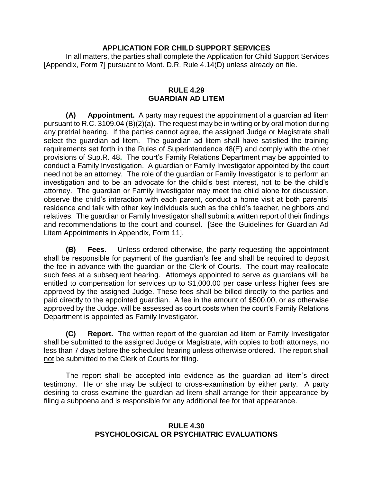#### **APPLICATION FOR CHILD SUPPORT SERVICES**

In all matters, the parties shall complete the Application for Child Support Services [Appendix, Form 7] pursuant to Mont. D.R. Rule 4.14(D) unless already on file.

#### **RULE 4.29 GUARDIAN AD LITEM**

**(A) Appointment.** A party may request the appointment of a guardian ad litem pursuant to R.C. 3109.04 (B)(2)(a). The request may be in writing or by oral motion during any pretrial hearing. If the parties cannot agree, the assigned Judge or Magistrate shall select the guardian ad litem. The guardian ad litem shall have satisfied the training requirements set forth in the Rules of Superintendence 48(E) and comply with the other provisions of Sup.R. 48**.** The court's Family Relations Department may be appointed to conduct a Family Investigation. A guardian or Family Investigator appointed by the court need not be an attorney. The role of the guardian or Family Investigator is to perform an investigation and to be an advocate for the child's best interest, not to be the child's attorney. The guardian or Family Investigator may meet the child alone for discussion, observe the child's interaction with each parent, conduct a home visit at both parents' residence and talk with other key individuals such as the child's teacher, neighbors and relatives. The guardian or Family Investigator shall submit a written report of their findings and recommendations to the court and counsel. [See the Guidelines for Guardian Ad Litem Appointments in Appendix, Form 11].

**(B) Fees.** Unless ordered otherwise, the party requesting the appointment shall be responsible for payment of the guardian's fee and shall be required to deposit the fee in advance with the guardian or the Clerk of Courts. The court may reallocate such fees at a subsequent hearing. Attorneys appointed to serve as guardians will be entitled to compensation for services up to \$1,000.00 per case unless higher fees are approved by the assigned Judge. These fees shall be billed directly to the parties and paid directly to the appointed guardian. A fee in the amount of \$500.00, or as otherwise approved by the Judge, will be assessed as court costs when the court's Family Relations Department is appointed as Family Investigator.

**(C) Report.** The written report of the guardian ad litem or Family Investigator shall be submitted to the assigned Judge or Magistrate, with copies to both attorneys, no less than 7 days before the scheduled hearing unless otherwise ordered. The report shall not be submitted to the Clerk of Courts for filing.

The report shall be accepted into evidence as the guardian ad litem's direct testimony. He or she may be subject to cross-examination by either party. A party desiring to cross-examine the guardian ad litem shall arrange for their appearance by filing a subpoena and is responsible for any additional fee for that appearance.

#### **RULE 4.30 PSYCHOLOGICAL OR PSYCHIATRIC EVALUATIONS**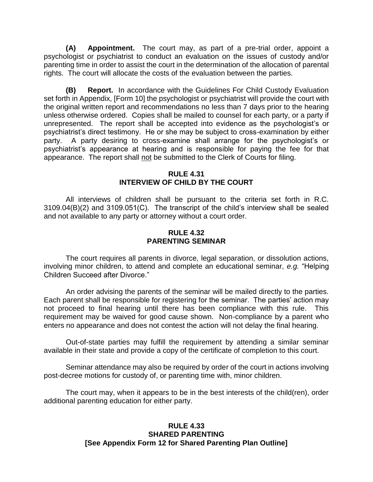**(A) Appointment.** The court may, as part of a pre-trial order, appoint a psychologist or psychiatrist to conduct an evaluation on the issues of custody and/or parenting time in order to assist the court in the determination of the allocation of parental rights. The court will allocate the costs of the evaluation between the parties.

**(B) Report.** In accordance with the Guidelines For Child Custody Evaluation set forth in Appendix, [Form 10] the psychologist or psychiatrist will provide the court with the original written report and recommendations no less than 7 days prior to the hearing unless otherwise ordered. Copies shall be mailed to counsel for each party, or a party if unrepresented. The report shall be accepted into evidence as the psychologist's or psychiatrist's direct testimony. He or she may be subject to cross-examination by either party. A party desiring to cross-examine shall arrange for the psychologist's or psychiatrist's appearance at hearing and is responsible for paying the fee for that appearance. The report shall not be submitted to the Clerk of Courts for filing.

#### **RULE 4.31 INTERVIEW OF CHILD BY THE COURT**

All interviews of children shall be pursuant to the criteria set forth in R.C. 3109.04(B)(2) and 3109.051(C). The transcript of the child's interview shall be sealed and not available to any party or attorney without a court order.

#### **RULE 4.32 PARENTING SEMINAR**

The court requires all parents in divorce, legal separation, or dissolution actions, involving minor children, to attend and complete an educational seminar, *e.g.* "Helping Children Succeed after Divorce."

An order advising the parents of the seminar will be mailed directly to the parties. Each parent shall be responsible for registering for the seminar. The parties' action may not proceed to final hearing until there has been compliance with this rule. This requirement may be waived for good cause shown. Non-compliance by a parent who enters no appearance and does not contest the action will not delay the final hearing.

Out-of-state parties may fulfill the requirement by attending a similar seminar available in their state and provide a copy of the certificate of completion to this court.

Seminar attendance may also be required by order of the court in actions involving post-decree motions for custody of, or parenting time with, minor children.

The court may, when it appears to be in the best interests of the child(ren), order additional parenting education for either party.

#### **RULE 4.33 SHARED PARENTING [See Appendix Form 12 for Shared Parenting Plan Outline]**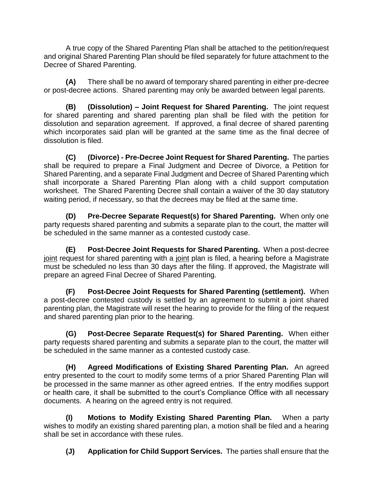A true copy of the Shared Parenting Plan shall be attached to the petition/request and original Shared Parenting Plan should be filed separately for future attachment to the Decree of Shared Parenting.

**(A)** There shall be no award of temporary shared parenting in either pre-decree or post-decree actions. Shared parenting may only be awarded between legal parents.

**(B) (Dissolution) – Joint Request for Shared Parenting.** The joint request for shared parenting and shared parenting plan shall be filed with the petition for dissolution and separation agreement. If approved, a final decree of shared parenting which incorporates said plan will be granted at the same time as the final decree of dissolution is filed.

**(C) (Divorce) - Pre-Decree Joint Request for Shared Parenting.** The parties shall be required to prepare a Final Judgment and Decree of Divorce, a Petition for Shared Parenting, and a separate Final Judgment and Decree of Shared Parenting which shall incorporate a Shared Parenting Plan along with a child support computation worksheet. The Shared Parenting Decree shall contain a waiver of the 30 day statutory waiting period, if necessary, so that the decrees may be filed at the same time.

**(D) Pre-Decree Separate Request(s) for Shared Parenting.** When only one party requests shared parenting and submits a separate plan to the court, the matter will be scheduled in the same manner as a contested custody case.

**(E) Post-Decree Joint Requests for Shared Parenting.** When a post-decree joint request for shared parenting with a joint plan is filed, a hearing before a Magistrate must be scheduled no less than 30 days after the filing. If approved, the Magistrate will prepare an agreed Final Decree of Shared Parenting.

**(F) Post-Decree Joint Requests for Shared Parenting (settlement).** When a post-decree contested custody is settled by an agreement to submit a joint shared parenting plan, the Magistrate will reset the hearing to provide for the filing of the request and shared parenting plan prior to the hearing.

**(G) Post-Decree Separate Request(s) for Shared Parenting.** When either party requests shared parenting and submits a separate plan to the court, the matter will be scheduled in the same manner as a contested custody case.

 **(H) Agreed Modifications of Existing Shared Parenting Plan.** An agreed entry presented to the court to modify some terms of a prior Shared Parenting Plan will be processed in the same manner as other agreed entries. If the entry modifies support or health care, it shall be submitted to the court's Compliance Office with all necessary documents. A hearing on the agreed entry is not required.

**(I) Motions to Modify Existing Shared Parenting Plan.** When a party wishes to modify an existing shared parenting plan, a motion shall be filed and a hearing shall be set in accordance with these rules.

**(J) Application for Child Support Services.** The parties shall ensure that the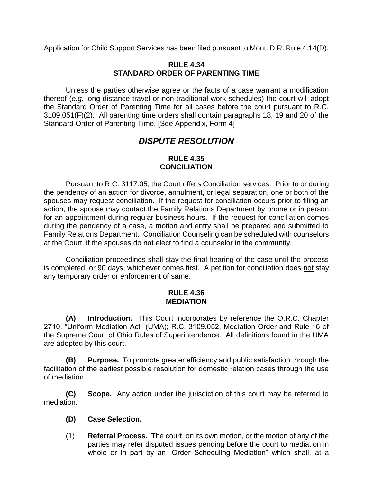Application for Child Support Services has been filed pursuant to Mont. D.R. Rule 4.14(D).

#### **RULE 4.34 STANDARD ORDER OF PARENTING TIME**

Unless the parties otherwise agree or the facts of a case warrant a modification thereof (*e.g.* long distance travel or non-traditional work schedules) the court will adopt the Standard Order of Parenting Time for all cases before the court pursuant to R.C. 3109.051(F)(2). All parenting time orders shall contain paragraphs 18, 19 and 20 of the Standard Order of Parenting Time. [See Appendix, Form 4]

# *DISPUTE RESOLUTION*

#### **RULE 4.35 CONCILIATION**

Pursuant to R.C. 3117.05, the Court offers Conciliation services. Prior to or during the pendency of an action for divorce, annulment, or legal separation, one or both of the spouses may request conciliation. If the request for conciliation occurs prior to filing an action, the spouse may contact the Family Relations Department by phone or in person for an appointment during regular business hours. If the request for conciliation comes during the pendency of a case, a motion and entry shall be prepared and submitted to Family Relations Department. Conciliation Counseling can be scheduled with counselors at the Court, if the spouses do not elect to find a counselor in the community.

Conciliation proceedings shall stay the final hearing of the case until the process is completed, or 90 days, whichever comes first. A petition for conciliation does not stay any temporary order or enforcement of same.

#### **RULE 4.36 MEDIATION**

**(A) Introduction.** This Court incorporates by reference the O.R.C. Chapter 2710, "Uniform Mediation Act" (UMA); R.C. 3109.052, Mediation Order and Rule 16 of the Supreme Court of Ohio Rules of Superintendence. All definitions found in the UMA are adopted by this court.

**(B) Purpose.** To promote greater efficiency and public satisfaction through the facilitation of the earliest possible resolution for domestic relation cases through the use of mediation.

**(C) Scope.** Any action under the jurisdiction of this court may be referred to mediation.

- **(D) Case Selection.**
- (1) **Referral Process.** The court, on its own motion, or the motion of any of the parties may refer disputed issues pending before the court to mediation in whole or in part by an "Order Scheduling Mediation" which shall, at a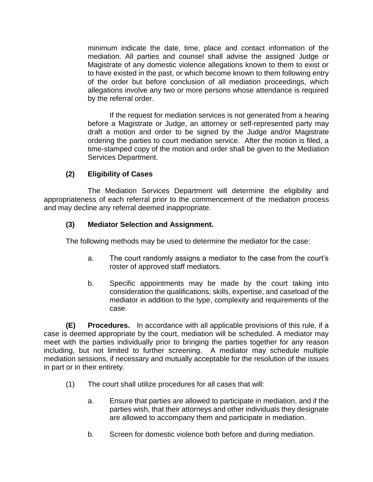minimum indicate the date, time, place and contact information of the mediation. All parties and counsel shall advise the assigned Judge or Magistrate of any domestic violence allegations known to them to exist or to have existed in the past, or which become known to them following entry of the order but before conclusion of all mediation proceedings, which allegations involve any two or more persons whose attendance is required by the referral order.

If the request for mediation services is not generated from a hearing before a Magistrate or Judge, an attorney or self-represented party may draft a motion and order to be signed by the Judge and/or Magistrate ordering the parties to court mediation service. After the motion is filed, a time-stamped copy of the motion and order shall be given to the Mediation Services Department.

### **(2) Eligibility of Cases**

The Mediation Services Department will determine the eligibility and appropriateness of each referral prior to the commencement of the mediation process and may decline any referral deemed inappropriate.

### **(3) Mediator Selection and Assignment.**

The following methods may be used to determine the mediator for the case:

- a. The court randomly assigns a mediator to the case from the court's roster of approved staff mediators.
- b. Specific appointments may be made by the court taking into consideration the qualifications, skills, expertise, and caseload of the mediator in addition to the type, complexity and requirements of the case.

**(E) Procedures.** In accordance with all applicable provisions of this rule, if a case is deemed appropriate by the court, mediation will be scheduled. A mediator may meet with the parties individually prior to bringing the parties together for any reason including, but not limited to further screening. A mediator may schedule multiple mediation sessions, if necessary and mutually acceptable for the resolution of the issues in part or in their entirety.

- (1) The court shall utilize procedures for all cases that will:
	- a. Ensure that parties are allowed to participate in mediation, and if the parties wish, that their attorneys and other individuals they designate are allowed to accompany them and participate in mediation.
	- b. Screen for domestic violence both before and during mediation.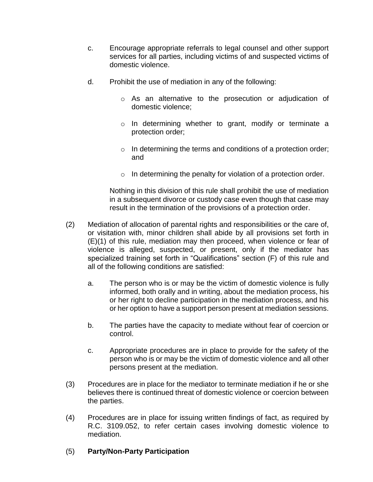- c. Encourage appropriate referrals to legal counsel and other support services for all parties, including victims of and suspected victims of domestic violence.
- d. Prohibit the use of mediation in any of the following:
	- o As an alternative to the prosecution or adjudication of domestic violence;
	- o In determining whether to grant, modify or terminate a protection order;
	- $\circ$  In determining the terms and conditions of a protection order; and
	- $\circ$  In determining the penalty for violation of a protection order.

Nothing in this division of this rule shall prohibit the use of mediation in a subsequent divorce or custody case even though that case may result in the termination of the provisions of a protection order.

- (2) Mediation of allocation of parental rights and responsibilities or the care of, or visitation with, minor children shall abide by all provisions set forth in (E)(1) of this rule, mediation may then proceed, when violence or fear of violence is alleged, suspected, or present, only if the mediator has specialized training set forth in "Qualifications" section (F) of this rule and all of the following conditions are satisfied:
	- a. The person who is or may be the victim of domestic violence is fully informed, both orally and in writing, about the mediation process, his or her right to decline participation in the mediation process, and his or her option to have a support person present at mediation sessions.
	- b. The parties have the capacity to mediate without fear of coercion or control.
	- c. Appropriate procedures are in place to provide for the safety of the person who is or may be the victim of domestic violence and all other persons present at the mediation.
- (3) Procedures are in place for the mediator to terminate mediation if he or she believes there is continued threat of domestic violence or coercion between the parties.
- (4) Procedures are in place for issuing written findings of fact, as required by R.C. 3109.052, to refer certain cases involving domestic violence to mediation.

### (5) **Party/Non-Party Participation**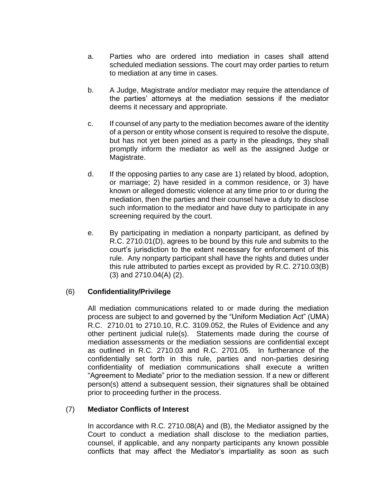- a. Parties who are ordered into mediation in cases shall attend scheduled mediation sessions. The court may order parties to return to mediation at any time in cases.
- b. A Judge, Magistrate and/or mediator may require the attendance of the parties' attorneys at the mediation sessions if the mediator deems it necessary and appropriate.
- c. If counsel of any party to the mediation becomes aware of the identity of a person or entity whose consent is required to resolve the dispute, but has not yet been joined as a party in the pleadings, they shall promptly inform the mediator as well as the assigned Judge or Magistrate.
- d. If the opposing parties to any case are 1) related by blood, adoption, or marriage; 2) have resided in a common residence, or 3) have known or alleged domestic violence at any time prior to or during the mediation, then the parties and their counsel have a duty to disclose such information to the mediator and have duty to participate in any screening required by the court.
- e. By participating in mediation a nonparty participant, as defined by R.C. 2710.01(D), agrees to be bound by this rule and submits to the court's jurisdiction to the extent necessary for enforcement of this rule. Any nonparty participant shall have the rights and duties under this rule attributed to parties except as provided by R.C. 2710.03(B) (3) and 2710.04(A) (2).

#### (6) **Confidentiality/Privilege**

All mediation communications related to or made during the mediation process are subject to and governed by the "Uniform Mediation Act" (UMA) R.C. 2710.01 to 2710.10, R.C. 3109.052, the Rules of Evidence and any other pertinent judicial rule(s). Statements made during the course of mediation assessments or the mediation sessions are confidential except as outlined in R.C. 2710.03 and R.C. 2701.05. In furtherance of the confidentially set forth in this rule, parties and non-parties desiring confidentiality of mediation communications shall execute a written "Agreement to Mediate" prior to the mediation session. If a new or different person(s) attend a subsequent session, their signatures shall be obtained prior to proceeding further in the process.

### (7) **Mediator Conflicts of Interest**

In accordance with R.C. 2710.08(A) and (B), the Mediator assigned by the Court to conduct a mediation shall disclose to the mediation parties, counsel, if applicable, and any nonparty participants any known possible conflicts that may affect the Mediator's impartiality as soon as such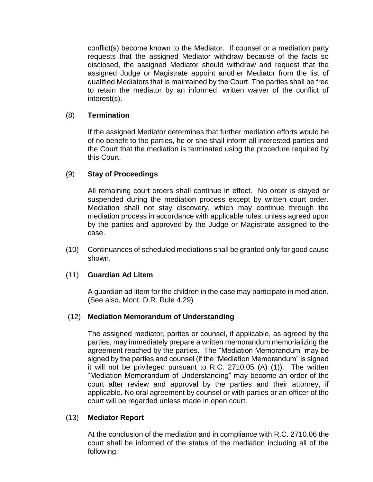conflict(s) become known to the Mediator. If counsel or a mediation party requests that the assigned Mediator withdraw because of the facts so disclosed, the assigned Mediator should withdraw and request that the assigned Judge or Magistrate appoint another Mediator from the list of qualified Mediators that is maintained by the Court. The parties shall be free to retain the mediator by an informed, written waiver of the conflict of interest(s).

#### (8) **Termination**

If the assigned Mediator determines that further mediation efforts would be of no benefit to the parties, he or she shall inform all interested parties and the Court that the mediation is terminated using the procedure required by this Court.

#### (9) **Stay of Proceedings**

All remaining court orders shall continue in effect. No order is stayed or suspended during the mediation process except by written court order. Mediation shall not stay discovery, which may continue through the mediation process in accordance with applicable rules, unless agreed upon by the parties and approved by the Judge or Magistrate assigned to the case.

(10) Continuances of scheduled mediations shall be granted only for good cause shown.

#### (11) **Guardian Ad Litem**

A guardian ad litem for the children in the case may participate in mediation. (See also, Mont. D.R. Rule 4.29)

#### (12) **Mediation Memorandum of Understanding**

The assigned mediator, parties or counsel, if applicable, as agreed by the parties, may immediately prepare a written memorandum memorializing the agreement reached by the parties. The "Mediation Memorandum" may be signed by the parties and counsel (if the "Mediation Memorandum" is signed it will not be privileged pursuant to R.C. 2710.05 (A) (1)). The written "Mediation Memorandum of Understanding" may become an order of the court after review and approval by the parties and their attorney, if applicable. No oral agreement by counsel or with parties or an officer of the court will be regarded unless made in open court.

#### (13) **Mediator Report**

At the conclusion of the mediation and in compliance with R.C. 2710.06 the court shall be informed of the status of the mediation including all of the following: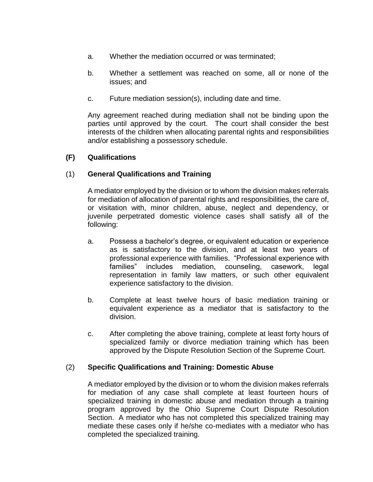- a. Whether the mediation occurred or was terminated;
- b. Whether a settlement was reached on some, all or none of the issues; and
- c. Future mediation session(s), including date and time.

Any agreement reached during mediation shall not be binding upon the parties until approved by the court. The court shall consider the best interests of the children when allocating parental rights and responsibilities and/or establishing a possessory schedule.

### **(F) Qualifications**

### (1) **General Qualifications and Training**

A mediator employed by the division or to whom the division makes referrals for mediation of allocation of parental rights and responsibilities, the care of, or visitation with, minor children, abuse, neglect and dependency, or juvenile perpetrated domestic violence cases shall satisfy all of the following:

- a. Possess a bachelor's degree, or equivalent education or experience as is satisfactory to the division, and at least two years of professional experience with families. "Professional experience with families" includes mediation, counseling, casework, legal representation in family law matters, or such other equivalent experience satisfactory to the division.
- b. Complete at least twelve hours of basic mediation training or equivalent experience as a mediator that is satisfactory to the division.
- c. After completing the above training, complete at least forty hours of specialized family or divorce mediation training which has been approved by the Dispute Resolution Section of the Supreme Court.

#### (2) **Specific Qualifications and Training: Domestic Abuse**

A mediator employed by the division or to whom the division makes referrals for mediation of any case shall complete at least fourteen hours of specialized training in domestic abuse and mediation through a training program approved by the Ohio Supreme Court Dispute Resolution Section. A mediator who has not completed this specialized training may mediate these cases only if he/she co-mediates with a mediator who has completed the specialized training.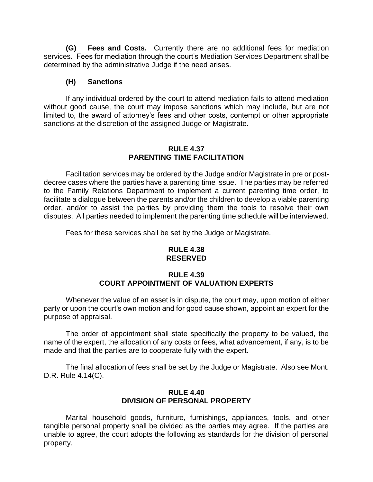**(G) Fees and Costs.** Currently there are no additional fees for mediation services.Fees for mediation through the court's Mediation Services Department shall be determined by the administrative Judge if the need arises.

#### **(H) Sanctions**

If any individual ordered by the court to attend mediation fails to attend mediation without good cause, the court may impose sanctions which may include, but are not limited to, the award of attorney's fees and other costs, contempt or other appropriate sanctions at the discretion of the assigned Judge or Magistrate.

#### **RULE 4.37 PARENTING TIME FACILITATION**

Facilitation services may be ordered by the Judge and/or Magistrate in pre or postdecree cases where the parties have a parenting time issue. The parties may be referred to the Family Relations Department to implement a current parenting time order, to facilitate a dialogue between the parents and/or the children to develop a viable parenting order, and/or to assist the parties by providing them the tools to resolve their own disputes. All parties needed to implement the parenting time schedule will be interviewed.

Fees for these services shall be set by the Judge or Magistrate.

#### **RULE 4.38 RESERVED**

#### **RULE 4.39 COURT APPOINTMENT OF VALUATION EXPERTS**

Whenever the value of an asset is in dispute, the court may, upon motion of either party or upon the court's own motion and for good cause shown, appoint an expert for the purpose of appraisal.

The order of appointment shall state specifically the property to be valued, the name of the expert, the allocation of any costs or fees, what advancement, if any, is to be made and that the parties are to cooperate fully with the expert.

The final allocation of fees shall be set by the Judge or Magistrate. Also see Mont. D.R. Rule 4.14(C).

### **RULE 4.40 DIVISION OF PERSONAL PROPERTY**

Marital household goods, furniture, furnishings, appliances, tools, and other tangible personal property shall be divided as the parties may agree. If the parties are unable to agree, the court adopts the following as standards for the division of personal property.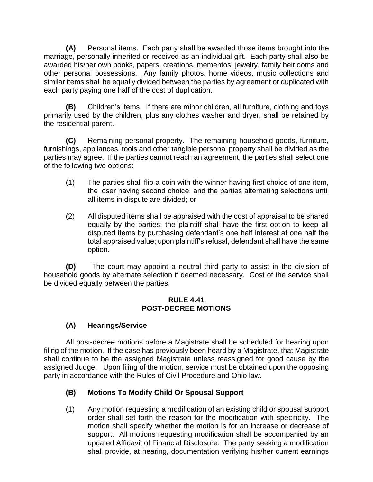**(A)** Personal items. Each party shall be awarded those items brought into the marriage, personally inherited or received as an individual gift. Each party shall also be awarded his/her own books, papers, creations, mementos, jewelry, family heirlooms and other personal possessions. Any family photos, home videos, music collections and similar items shall be equally divided between the parties by agreement or duplicated with each party paying one half of the cost of duplication.

**(B)** Children's items. If there are minor children, all furniture, clothing and toys primarily used by the children, plus any clothes washer and dryer, shall be retained by the residential parent.

**(C)** Remaining personal property. The remaining household goods, furniture, furnishings, appliances, tools and other tangible personal property shall be divided as the parties may agree. If the parties cannot reach an agreement, the parties shall select one of the following two options:

- (1) The parties shall flip a coin with the winner having first choice of one item, the loser having second choice, and the parties alternating selections until all items in dispute are divided; or
- (2) All disputed items shall be appraised with the cost of appraisal to be shared equally by the parties; the plaintiff shall have the first option to keep all disputed items by purchasing defendant's one half interest at one half the total appraised value; upon plaintiff's refusal, defendant shall have the same option.

**(D)** The court may appoint a neutral third party to assist in the division of household goods by alternate selection if deemed necessary. Cost of the service shall be divided equally between the parties.

#### **RULE 4.41 POST-DECREE MOTIONS**

# **(A) Hearings/Service**

All post-decree motions before a Magistrate shall be scheduled for hearing upon filing of the motion. If the case has previously been heard by a Magistrate, that Magistrate shall continue to be the assigned Magistrate unless reassigned for good cause by the assigned Judge. Upon filing of the motion, service must be obtained upon the opposing party in accordance with the Rules of Civil Procedure and Ohio law.

# **(B) Motions To Modify Child Or Spousal Support**

(1) Any motion requesting a modification of an existing child or spousal support order shall set forth the reason for the modification with specificity. The motion shall specify whether the motion is for an increase or decrease of support. All motions requesting modification shall be accompanied by an updated Affidavit of Financial Disclosure. The party seeking a modification shall provide, at hearing, documentation verifying his/her current earnings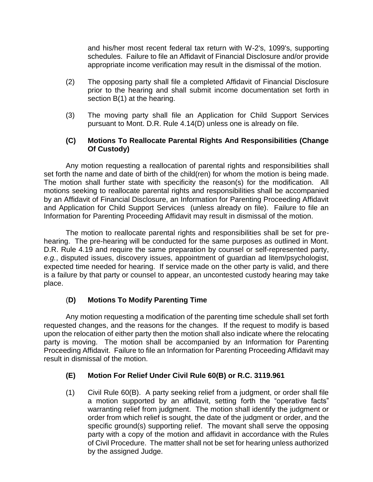and his/her most recent federal tax return with W-2's, 1099's, supporting schedules. Failure to file an Affidavit of Financial Disclosure and/or provide appropriate income verification may result in the dismissal of the motion.

- (2) The opposing party shall file a completed Affidavit of Financial Disclosure prior to the hearing and shall submit income documentation set forth in section B(1) at the hearing.
- (3) The moving party shall file an Application for Child Support Services pursuant to Mont. D.R. Rule 4.14(D) unless one is already on file.

### **(C) Motions To Reallocate Parental Rights And Responsibilities (Change Of Custody)**

Any motion requesting a reallocation of parental rights and responsibilities shall set forth the name and date of birth of the child(ren) for whom the motion is being made. The motion shall further state with specificity the reason(s) for the modification. All motions seeking to reallocate parental rights and responsibilities shall be accompanied by an Affidavit of Financial Disclosure, an Information for Parenting Proceeding Affidavit and Application for Child Support Services (unless already on file). Failure to file an Information for Parenting Proceeding Affidavit may result in dismissal of the motion.

The motion to reallocate parental rights and responsibilities shall be set for prehearing. The pre-hearing will be conducted for the same purposes as outlined in Mont. D.R. Rule 4.19 and require the same preparation by counsel or self-represented party, *e.g.*, disputed issues, discovery issues, appointment of guardian ad litem/psychologist, expected time needed for hearing. If service made on the other party is valid, and there is a failure by that party or counsel to appear, an uncontested custody hearing may take place.

# (**D) Motions To Modify Parenting Time**

Any motion requesting a modification of the parenting time schedule shall set forth requested changes, and the reasons for the changes. If the request to modify is based upon the relocation of either party then the motion shall also indicate where the relocating party is moving. The motion shall be accompanied by an Information for Parenting Proceeding Affidavit. Failure to file an Information for Parenting Proceeding Affidavit may result in dismissal of the motion.

### **(E) Motion For Relief Under Civil Rule 60(B) or R.C. 3119.961**

(1) Civil Rule 60(B). A party seeking relief from a judgment, or order shall file a motion supported by an affidavit, setting forth the "operative facts" warranting relief from judgment. The motion shall identify the judgment or order from which relief is sought, the date of the judgment or order, and the specific ground(s) supporting relief. The movant shall serve the opposing party with a copy of the motion and affidavit in accordance with the Rules of Civil Procedure. The matter shall not be set for hearing unless authorized by the assigned Judge.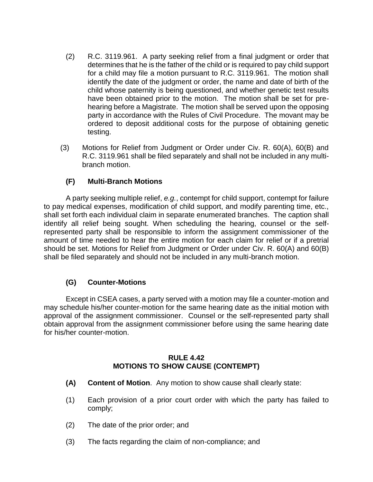- (2) R.C. 3119.961. A party seeking relief from a final judgment or order that determines that he is the father of the child or is required to pay child support for a child may file a motion pursuant to R.C. 3119.961. The motion shall identify the date of the judgment or order, the name and date of birth of the child whose paternity is being questioned, and whether genetic test results have been obtained prior to the motion. The motion shall be set for prehearing before a Magistrate. The motion shall be served upon the opposing party in accordance with the Rules of Civil Procedure. The movant may be ordered to deposit additional costs for the purpose of obtaining genetic testing.
- (3) Motions for Relief from Judgment or Order under Civ. R. 60(A), 60(B) and R.C. 3119.961 shall be filed separately and shall not be included in any multibranch motion.

### **(F) Multi-Branch Motions**

A party seeking multiple relief, *e.g.*, contempt for child support, contempt for failure to pay medical expenses, modification of child support, and modify parenting time, etc., shall set forth each individual claim in separate enumerated branches. The caption shall identify all relief being sought. When scheduling the hearing, counsel or the selfrepresented party shall be responsible to inform the assignment commissioner of the amount of time needed to hear the entire motion for each claim for relief or if a pretrial should be set. Motions for Relief from Judgment or Order under Civ. R. 60(A) and 60(B) shall be filed separately and should not be included in any multi-branch motion.

### **(G) Counter-Motions**

Except in CSEA cases, a party served with a motion may file a counter-motion and may schedule his/her counter-motion for the same hearing date as the initial motion with approval of the assignment commissioner. Counsel or the self-represented party shall obtain approval from the assignment commissioner before using the same hearing date for his/her counter-motion.

#### **RULE 4.42 MOTIONS TO SHOW CAUSE (CONTEMPT)**

- **(A) Content of Motion**. Any motion to show cause shall clearly state:
- (1) Each provision of a prior court order with which the party has failed to comply;
- (2) The date of the prior order; and
- (3) The facts regarding the claim of non-compliance; and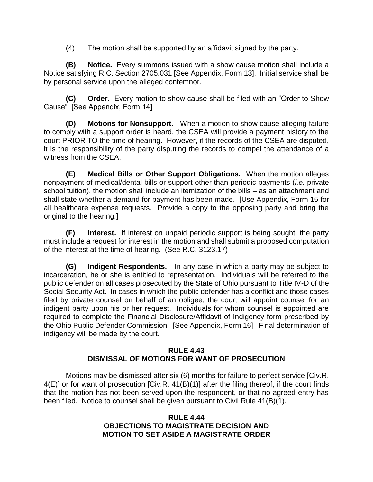(4) The motion shall be supported by an affidavit signed by the party.

**(B) Notice.** Every summons issued with a show cause motion shall include a Notice satisfying R.C. Section 2705.031 [See Appendix, Form 13]. Initial service shall be by personal service upon the alleged contemnor.

**(C) Order.** Every motion to show cause shall be filed with an "Order to Show Cause" [See Appendix, Form 14]

**(D) Motions for Nonsupport.** When a motion to show cause alleging failure to comply with a support order is heard, the CSEA will provide a payment history to the court PRIOR TO the time of hearing. However, if the records of the CSEA are disputed, it is the responsibility of the party disputing the records to compel the attendance of a witness from the CSEA.

**(E) Medical Bills or Other Support Obligations.** When the motion alleges nonpayment of medical/dental bills or support other than periodic payments (*i.e.* private school tuition), the motion shall include an itemization of the bills – as an attachment and shall state whether a demand for payment has been made. [Use Appendix, Form 15 for all healthcare expense requests. Provide a copy to the opposing party and bring the original to the hearing.]

**(F) Interest.** If interest on unpaid periodic support is being sought, the party must include a request for interest in the motion and shall submit a proposed computation of the interest at the time of hearing. (See R.C. 3123.17)

**(G) Indigent Respondents.** In any case in which a party may be subject to incarceration, he or she is entitled to representation. Individuals will be referred to the public defender on all cases prosecuted by the State of Ohio pursuant to Title IV-D of the Social Security Act. In cases in which the public defender has a conflict and those cases filed by private counsel on behalf of an obligee, the court will appoint counsel for an indigent party upon his or her request. Individuals for whom counsel is appointed are required to complete the Financial Disclosure/Affidavit of Indigency form prescribed by the Ohio Public Defender Commission. [See Appendix, Form 16] Final determination of indigency will be made by the court.

#### **RULE 4.43 DISMISSAL OF MOTIONS FOR WANT OF PROSECUTION**

Motions may be dismissed after six (6) months for failure to perfect service [Civ.R. 4(E)] or for want of prosecution [Civ.R. 41(B)(1)] after the filing thereof, if the court finds that the motion has not been served upon the respondent, or that no agreed entry has been filed. Notice to counsel shall be given pursuant to Civil Rule 41(B)(1).

#### **RULE 4.44 OBJECTIONS TO MAGISTRATE DECISION AND MOTION TO SET ASIDE A MAGISTRATE ORDER**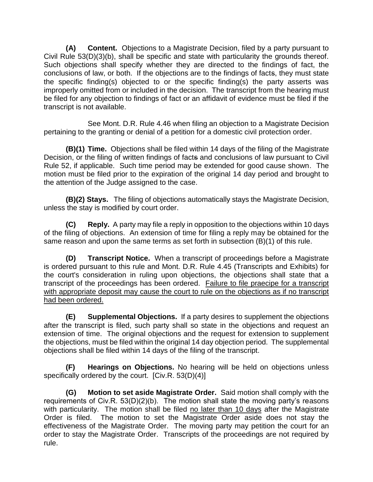**(A) Content.** Objections to a Magistrate Decision, filed by a party pursuant to Civil Rule 53(D)(3)(b), shall be specific and state with particularity the grounds thereof. Such objections shall specify whether they are directed to the findings of fact, the conclusions of law, or both. If the objections are to the findings of facts, they must state the specific finding(s) objected to or the specific finding(s) the party asserts was improperly omitted from or included in the decision. The transcript from the hearing must be filed for any objection to findings of fact or an affidavit of evidence must be filed if the transcript is not available.

See Mont. D.R. Rule 4.46 when filing an objection to a Magistrate Decision pertaining to the granting or denial of a petition for a domestic civil protection order.

**(B)(1) Time.** Objections shall be filed within 14 days of the filing of the Magistrate Decision, or the filing of written findings of facts and conclusions of law pursuant to Civil Rule 52, if applicable. Such time period may be extended for good cause shown. The motion must be filed prior to the expiration of the original 14 day period and brought to the attention of the Judge assigned to the case.

**(B)(2) Stays.** The filing of objections automatically stays the Magistrate Decision, unless the stay is modified by court order.

**(C) Reply.** A party may file a reply in opposition to the objections within 10 days of the filing of objections. An extension of time for filing a reply may be obtained for the same reason and upon the same terms as set forth in subsection (B)(1) of this rule.

**(D) Transcript Notice.** When a transcript of proceedings before a Magistrate is ordered pursuant to this rule and Mont. D.R. Rule 4.45 (Transcripts and Exhibits) for the court's consideration in ruling upon objections, the objections shall state that a transcript of the proceedings has been ordered. Failure to file praecipe for a transcript with appropriate deposit may cause the court to rule on the objections as if no transcript had been ordered.

**(E) Supplemental Objections.** If a party desires to supplement the objections after the transcript is filed, such party shall so state in the objections and request an extension of time. The original objections and the request for extension to supplement the objections, must be filed within the original 14 day objection period. The supplemental objections shall be filed within 14 days of the filing of the transcript.

**(F) Hearings on Objections.** No hearing will be held on objections unless specifically ordered by the court. [Civ.R. 53(D)(4)]

**(G) Motion to set aside Magistrate Order.** Said motion shall comply with the requirements of Civ.R. 53(D)(2)(b). The motion shall state the moving party's reasons with particularity. The motion shall be filed no later than 10 days after the Magistrate Order is filed. The motion to set the Magistrate Order aside does not stay the effectiveness of the Magistrate Order. The moving party may petition the court for an order to stay the Magistrate Order. Transcripts of the proceedings are not required by rule.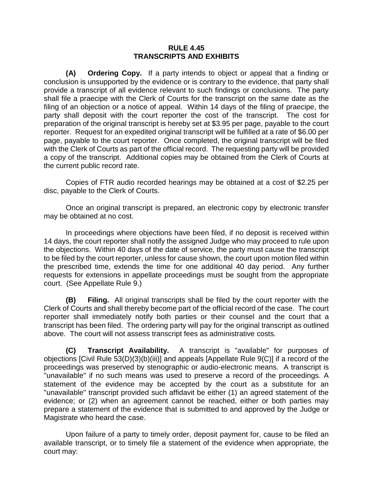#### **RULE 4.45 TRANSCRIPTS AND EXHIBITS**

**(A) Ordering Copy.** If a party intends to object or appeal that a finding or conclusion is unsupported by the evidence or is contrary to the evidence, that party shall provide a transcript of all evidence relevant to such findings or conclusions. The party shall file a praecipe with the Clerk of Courts for the transcript on the same date as the filing of an objection or a notice of appeal. Within 14 days of the filing of praecipe, the party shall deposit with the court reporter the cost of the transcript. The cost for preparation of the original transcript is hereby set at \$3.95 per page, payable to the court reporter. Request for an expedited original transcript will be fulfilled at a rate of \$6.00 per page, payable to the court reporter. Once completed, the original transcript will be filed with the Clerk of Courts as part of the official record. The requesting party will be provided a copy of the transcript. Additional copies may be obtained from the Clerk of Courts at the current public record rate.

Copies of FTR audio recorded hearings may be obtained at a cost of \$2.25 per disc, payable to the Clerk of Courts.

Once an original transcript is prepared, an electronic copy by electronic transfer may be obtained at no cost.

In proceedings where objections have been filed, if no deposit is received within 14 days, the court reporter shall notify the assigned Judge who may proceed to rule upon the objections. Within 40 days of the date of service, the party must cause the transcript to be filed by the court reporter, unless for cause shown, the court upon motion filed within the prescribed time, extends the time for one additional 40 day period. Any further requests for extensions in appellate proceedings must be sought from the appropriate court. (See Appellate Rule 9.)

**(B) Filing.** All original transcripts shall be filed by the court reporter with the Clerk of Courts and shall thereby become part of the official record of the case. The court reporter shall immediately notify both parties or their counsel and the court that a transcript has been filed. The ordering party will pay for the original transcript as outlined above. The court will not assess transcript fees as administrative costs.

**(C) Transcript Availability.** A transcript is "available" for purposes of objections [Civil Rule 53(D)(3)(b)(iii)] and appeals [Appellate Rule 9(C)] if a record of the proceedings was preserved by stenographic or audio-electronic means. A transcript is "unavailable" if no such means was used to preserve a record of the proceedings. A statement of the evidence may be accepted by the court as a substitute for an "unavailable" transcript provided such affidavit be either (1) an agreed statement of the evidence; or (2) when an agreement cannot be reached, either or both parties may prepare a statement of the evidence that is submitted to and approved by the Judge or Magistrate who heard the case.

Upon failure of a party to timely order, deposit payment for, cause to be filed an available transcript, or to timely file a statement of the evidence when appropriate, the court may: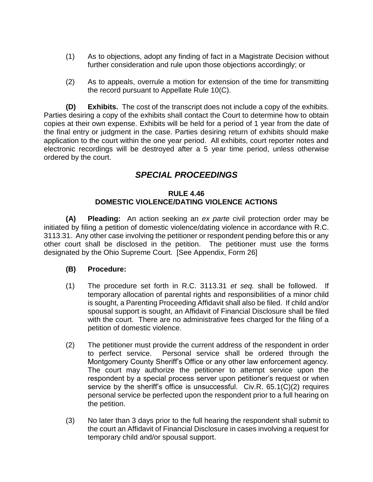- (1) As to objections, adopt any finding of fact in a Magistrate Decision without further consideration and rule upon those objections accordingly; or
- (2) As to appeals, overrule a motion for extension of the time for transmitting the record pursuant to Appellate Rule 10(C).

**(D) Exhibits.** The cost of the transcript does not include a copy of the exhibits. Parties desiring a copy of the exhibits shall contact the Court to determine how to obtain copies at their own expense. Exhibits will be held for a period of 1 year from the date of the final entry or judgment in the case. Parties desiring return of exhibits should make application to the court within the one year period. All exhibits, court reporter notes and electronic recordings will be destroyed after a 5 year time period, unless otherwise ordered by the court.

# *SPECIAL PROCEEDINGS*

#### **RULE 4.46 DOMESTIC VIOLENCE/DATING VIOLENCE ACTIONS**

**(A) Pleading:** An action seeking an *ex parte* civil protection order may be initiated by filing a petition of domestic violence/dating violence in accordance with R.C. 3113.31. Any other case involving the petitioner or respondent pending before this or any other court shall be disclosed in the petition. The petitioner must use the forms designated by the Ohio Supreme Court. [See Appendix, Form 26]

### **(B) Procedure:**

- (1) The procedure set forth in R.C. 3113.31 *et seq.* shall be followed. If temporary allocation of parental rights and responsibilities of a minor child is sought, a Parenting Proceeding Affidavit shall also be filed. If child and/or spousal support is sought, an Affidavit of Financial Disclosure shall be filed with the court. There are no administrative fees charged for the filing of a petition of domestic violence.
- (2) The petitioner must provide the current address of the respondent in order to perfect service. Personal service shall be ordered through the Montgomery County Sheriff's Office or any other law enforcement agency. The court may authorize the petitioner to attempt service upon the respondent by a special process server upon petitioner's request or when service by the sheriff's office is unsuccessful. Civ.R. 65.1(C)(2) requires personal service be perfected upon the respondent prior to a full hearing on the petition.
- (3) No later than 3 days prior to the full hearing the respondent shall submit to the court an Affidavit of Financial Disclosure in cases involving a request for temporary child and/or spousal support.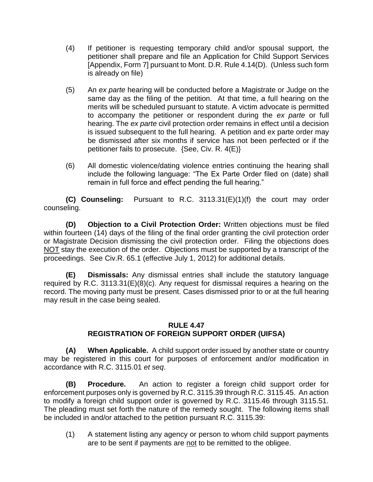- (4) If petitioner is requesting temporary child and/or spousal support, the petitioner shall prepare and file an Application for Child Support Services [Appendix, Form 7] pursuant to Mont. D.R. Rule 4.14(D). (Unless such form is already on file)
- (5) An *ex parte* hearing will be conducted before a Magistrate or Judge on the same day as the filing of the petition. At that time, a full hearing on the merits will be scheduled pursuant to statute. A victim advocate is permitted to accompany the petitioner or respondent during the *ex parte* or full hearing. The *ex parte* civil protection order remains in effect until a decision is issued subsequent to the full hearing. A petition and ex parte order may be dismissed after six months if service has not been perfected or if the petitioner fails to prosecute. {See, Civ. R. 4(E)}
- (6) All domestic violence/dating violence entries continuing the hearing shall include the following language: "The Ex Parte Order filed on (date) shall remain in full force and effect pending the full hearing."

**(C) Counseling:** Pursuant to R.C. 3113.31(E)(1)(f) the court may order counseling.

**(D) Objection to a Civil Protection Order:** Written objections must be filed within fourteen (14) days of the filing of the final order granting the civil protection order or Magistrate Decision dismissing the civil protection order. Filing the objections does NOT stay the execution of the order. Objections must be supported by a transcript of the proceedings. See Civ.R. 65.1 (effective July 1, 2012) for additional details.

**(E) Dismissals:** Any dismissal entries shall include the statutory language required by R.C. 3113.31(E)( $\dot{8}$ )(c). Any request for dismissal requires a hearing on the record. The moving party must be present. Cases dismissed prior to or at the full hearing may result in the case being sealed.

#### **RULE 4.47 REGISTRATION OF FOREIGN SUPPORT ORDER (UIFSA)**

**(A) When Applicable.** A child support order issued by another state or country may be registered in this court for purposes of enforcement and/or modification in accordance with R.C. 3115.01 *et seq*.

**(B) Procedure.** An action to register a foreign child support order for enforcement purposes only is governed by R.C. 3115.39 through R.C. 3115.45. An action to modify a foreign child support order is governed by R.C. 3115.46 through 3115.51. The pleading must set forth the nature of the remedy sought. The following items shall be included in and/or attached to the petition pursuant R.C. 3115.39:

(1) A statement listing any agency or person to whom child support payments are to be sent if payments are not to be remitted to the obligee.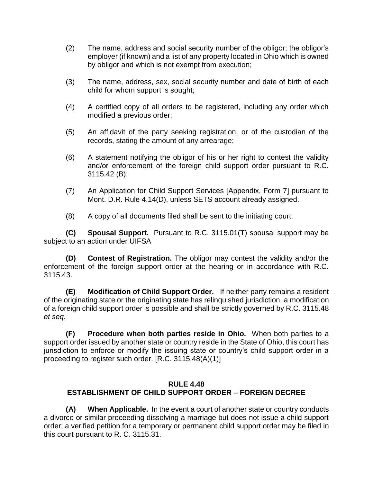- (2) The name, address and social security number of the obligor; the obligor's employer (if known) and a list of any property located in Ohio which is owned by obligor and which is not exempt from execution;
- (3) The name, address, sex, social security number and date of birth of each child for whom support is sought;
- (4) A certified copy of all orders to be registered, including any order which modified a previous order;
- (5) An affidavit of the party seeking registration, or of the custodian of the records, stating the amount of any arrearage;
- (6) A statement notifying the obligor of his or her right to contest the validity and/or enforcement of the foreign child support order pursuant to R.C. 3115.42 (B);
- (7) An Application for Child Support Services [Appendix, Form 7] pursuant to Mont. D.R. Rule 4.14(D), unless SETS account already assigned.
- (8) A copy of all documents filed shall be sent to the initiating court.

**(C) Spousal Support.** Pursuant to R.C. 3115.01(T) spousal support may be subject to an action under UIFSA

**(D) Contest of Registration.** The obligor may contest the validity and/or the enforcement of the foreign support order at the hearing or in accordance with R.C. 3115.43.

**(E) Modification of Child Support Order.** If neither party remains a resident of the originating state or the originating state has relinquished jurisdiction, a modification of a foreign child support order is possible and shall be strictly governed by R.C. 3115.48 *et seq.*

**(F) Procedure when both parties reside in Ohio.** When both parties to a support order issued by another state or country reside in the State of Ohio, this court has jurisdiction to enforce or modify the issuing state or country's child support order in a proceeding to register such order. [R.C. 3115.48(A)(1)]

#### **RULE 4.48 ESTABLISHMENT OF CHILD SUPPORT ORDER – FOREIGN DECREE**

**(A) When Applicable.** In the event a court of another state or country conducts a divorce or similar proceeding dissolving a marriage but does not issue a child support order; a verified petition for a temporary or permanent child support order may be filed in this court pursuant to R. C. 3115.31.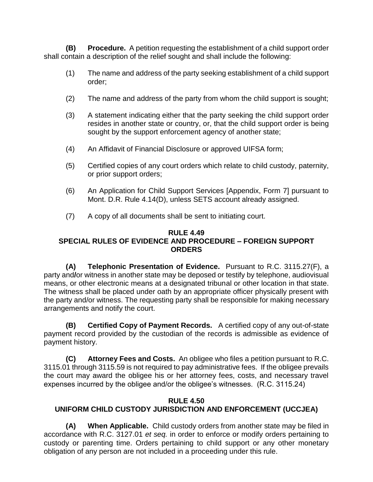**(B) Procedure.** A petition requesting the establishment of a child support order shall contain a description of the relief sought and shall include the following:

- (1) The name and address of the party seeking establishment of a child support order;
- (2) The name and address of the party from whom the child support is sought;
- (3) A statement indicating either that the party seeking the child support order resides in another state or country, or, that the child support order is being sought by the support enforcement agency of another state;
- (4) An Affidavit of Financial Disclosure or approved UIFSA form;
- (5) Certified copies of any court orders which relate to child custody, paternity, or prior support orders;
- (6) An Application for Child Support Services [Appendix, Form 7] pursuant to Mont. D.R. Rule 4.14(D), unless SETS account already assigned.
- (7) A copy of all documents shall be sent to initiating court.

#### **RULE 4.49 SPECIAL RULES OF EVIDENCE AND PROCEDURE – FOREIGN SUPPORT ORDERS**

**(A) Telephonic Presentation of Evidence.** Pursuant to R.C. 3115.27(F), a party and**/**or witness in another state may be deposed or testify by telephone, audiovisual means, or other electronic means at a designated tribunal or other location in that state. The witness shall be placed under oath by an appropriate officer physically present with the party and/or witness. The requesting party shall be responsible for making necessary arrangements and notify the court.

**(B) Certified Copy of Payment Records.** A certified copy of any out-of-state payment record provided by the custodian of the records is admissible as evidence of payment history.

**(C) Attorney Fees and Costs.** An obligee who files a petition pursuant to R.C. 3115.01 through 3115.59 is not required to pay administrative fees. If the obligee prevails the court may award the obligee his or her attorney fees, costs, and necessary travel expenses incurred by the obligee and/or the obligee's witnesses. (R.C. 3115.24)

#### **RULE 4.50**

# **UNIFORM CHILD CUSTODY JURISDICTION AND ENFORCEMENT (UCCJEA)**

**(A) When Applicable.** Child custody orders from another state may be filed in accordance with R.C. 3127.01 *et seq.* in order to enforce or modify orders pertaining to custody or parenting time. Orders pertaining to child support or any other monetary obligation of any person are not included in a proceeding under this rule.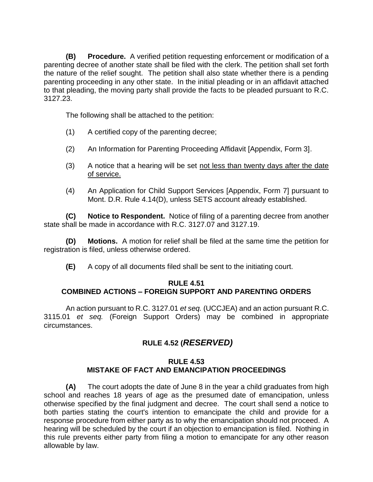**(B) Procedure.** A verified petition requesting enforcement or modification of a parenting decree of another state shall be filed with the clerk. The petition shall set forth the nature of the relief sought. The petition shall also state whether there is a pending parenting proceeding in any other state. In the initial pleading or in an affidavit attached to that pleading, the moving party shall provide the facts to be pleaded pursuant to R.C. 3127.23.

The following shall be attached to the petition:

- (1) A certified copy of the parenting decree;
- (2) An Information for Parenting Proceeding Affidavit [Appendix, Form 3].
- (3) A notice that a hearing will be set not less than twenty days after the date of service.
- (4) An Application for Child Support Services [Appendix, Form 7] pursuant to Mont. D.R. Rule 4.14(D), unless SETS account already established.

**(C) Notice to Respondent.** Notice of filing of a parenting decree from another state shall be made in accordance with R.C. 3127.07 and 3127.19.

**(D) Motions.** A motion for relief shall be filed at the same time the petition for registration is filed, unless otherwise ordered.

**(E)** A copy of all documents filed shall be sent to the initiating court.

#### **RULE 4.51 COMBINED ACTIONS – FOREIGN SUPPORT AND PARENTING ORDERS**

An action pursuant to R.C. 3127.01 *et seq.* (UCCJEA) and an action pursuant R.C. 3115.01 *et seq.* (Foreign Support Orders) may be combined in appropriate circumstances.

# **RULE 4.52 (***RESERVED)*

#### **RULE 4.53 MISTAKE OF FACT AND EMANCIPATION PROCEEDINGS**

**(A)** The court adopts the date of June 8 in the year a child graduates from high school and reaches 18 years of age as the presumed date of emancipation, unless otherwise specified by the final judgment and decree. The court shall send a notice to both parties stating the court's intention to emancipate the child and provide for a response procedure from either party as to why the emancipation should not proceed. A hearing will be scheduled by the court if an objection to emancipation is filed. Nothing in this rule prevents either party from filing a motion to emancipate for any other reason allowable by law.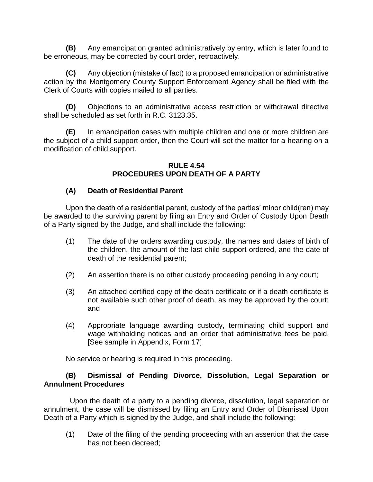**(B)** Any emancipation granted administratively by entry, which is later found to be erroneous, may be corrected by court order, retroactively.

**(C)** Any objection (mistake of fact) to a proposed emancipation or administrative action by the Montgomery County Support Enforcement Agency shall be filed with the Clerk of Courts with copies mailed to all parties.

**(D)** Objections to an administrative access restriction or withdrawal directive shall be scheduled as set forth in R.C. 3123.35.

**(E)** In emancipation cases with multiple children and one or more children are the subject of a child support order, then the Court will set the matter for a hearing on a modification of child support.

#### **RULE 4.54 PROCEDURES UPON DEATH OF A PARTY**

#### **(A) Death of Residential Parent**

Upon the death of a residential parent, custody of the parties' minor child(ren) may be awarded to the surviving parent by filing an Entry and Order of Custody Upon Death of a Party signed by the Judge, and shall include the following:

- (1) The date of the orders awarding custody, the names and dates of birth of the children, the amount of the last child support ordered, and the date of death of the residential parent;
- (2) An assertion there is no other custody proceeding pending in any court;
- (3) An attached certified copy of the death certificate or if a death certificate is not available such other proof of death, as may be approved by the court; and
- (4) Appropriate language awarding custody, terminating child support and wage withholding notices and an order that administrative fees be paid. [See sample in Appendix, Form 17]

No service or hearing is required in this proceeding.

#### **(B) Dismissal of Pending Divorce, Dissolution, Legal Separation or Annulment Procedures**

Upon the death of a party to a pending divorce, dissolution, legal separation or annulment, the case will be dismissed by filing an Entry and Order of Dismissal Upon Death of a Party which is signed by the Judge, and shall include the following:

(1) Date of the filing of the pending proceeding with an assertion that the case has not been decreed;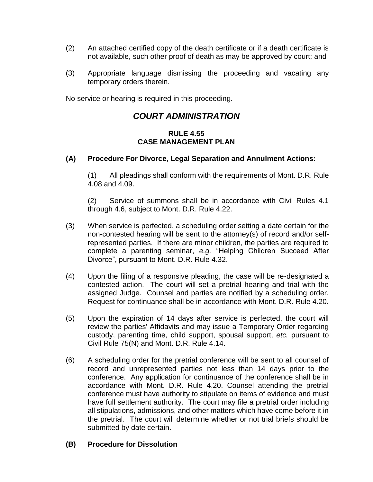- (2) An attached certified copy of the death certificate or if a death certificate is not available, such other proof of death as may be approved by court; and
- (3) Appropriate language dismissing the proceeding and vacating any temporary orders therein.

No service or hearing is required in this proceeding.

# *COURT ADMINISTRATION*

#### **RULE 4.55 CASE MANAGEMENT PLAN**

#### **(A) Procedure For Divorce, Legal Separation and Annulment Actions:**

(1) All pleadings shall conform with the requirements of Mont. D.R. Rule 4.08 and 4.09.

(2) Service of summons shall be in accordance with Civil Rules 4.1 through 4.6, subject to Mont. D.R. Rule 4.22.

- (3) When service is perfected, a scheduling order setting a date certain for the non-contested hearing will be sent to the attorney(s) of record and/or selfrepresented parties. If there are minor children, the parties are required to complete a parenting seminar, *e.g.* "Helping Children Succeed After Divorce", pursuant to Mont. D.R. Rule 4.32.
- (4) Upon the filing of a responsive pleading, the case will be re-designated a contested action. The court will set a pretrial hearing and trial with the assigned Judge. Counsel and parties are notified by a scheduling order. Request for continuance shall be in accordance with Mont. D.R. Rule 4.20.
- (5) Upon the expiration of 14 days after service is perfected, the court will review the parties' Affidavits and may issue a Temporary Order regarding custody, parenting time, child support, spousal support, *etc.* pursuant to Civil Rule 75(N) and Mont. D.R. Rule 4.14.
- (6) A scheduling order for the pretrial conference will be sent to all counsel of record and unrepresented parties not less than 14 days prior to the conference. Any application for continuance of the conference shall be in accordance with Mont. D.R. Rule 4.20. Counsel attending the pretrial conference must have authority to stipulate on items of evidence and must have full settlement authority. The court may file a pretrial order including all stipulations, admissions, and other matters which have come before it in the pretrial. The court will determine whether or not trial briefs should be submitted by date certain.

#### **(B) Procedure for Dissolution**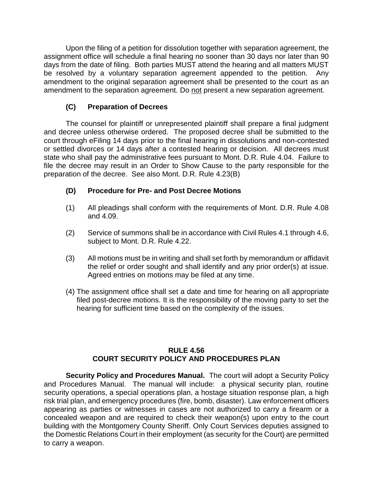Upon the filing of a petition for dissolution together with separation agreement, the assignment office will schedule a final hearing no sooner than 30 days nor later than 90 days from the date of filing. Both parties MUST attend the hearing and all matters MUST be resolved by a voluntary separation agreement appended to the petition. Any amendment to the original separation agreement shall be presented to the court as an amendment to the separation agreement. Do not present a new separation agreement.

# **(C) Preparation of Decrees**

The counsel for plaintiff or unrepresented plaintiff shall prepare a final judgment and decree unless otherwise ordered. The proposed decree shall be submitted to the court through eFiling 14 days prior to the final hearing in dissolutions and non-contested or settled divorces or 14 days after a contested hearing or decision. All decrees must state who shall pay the administrative fees pursuant to Mont. D.R. Rule 4.04. Failure to file the decree may result in an Order to Show Cause to the party responsible for the preparation of the decree. See also Mont. D.R. Rule 4.23(B)

### **(D) Procedure for Pre- and Post Decree Motions**

- (1) All pleadings shall conform with the requirements of Mont. D.R. Rule 4.08 and 4.09.
- (2) Service of summons shall be in accordance with Civil Rules 4.1 through 4.6, subject to Mont. D.R. Rule 4.22.
- (3) All motions must be in writing and shall set forth by memorandum or affidavit the relief or order sought and shall identify and any prior order(s) at issue. Agreed entries on motions may be filed at any time.
- (4) The assignment office shall set a date and time for hearing on all appropriate filed post-decree motions. It is the responsibility of the moving party to set the hearing for sufficient time based on the complexity of the issues.

### **RULE 4.56 COURT SECURITY POLICY AND PROCEDURES PLAN**

**Security Policy and Procedures Manual.** The court will adopt a Security Policy and Procedures Manual. The manual will include: a physical security plan, routine security operations, a special operations plan, a hostage situation response plan, a high risk trial plan, and emergency procedures (fire, bomb, disaster). Law enforcement officers appearing as parties or witnesses in cases are not authorized to carry a firearm or a concealed weapon and are required to check their weapon(s) upon entry to the court building with the Montgomery County Sheriff. Only Court Services deputies assigned to the Domestic Relations Court in their employment (as security for the Court) are permitted to carry a weapon.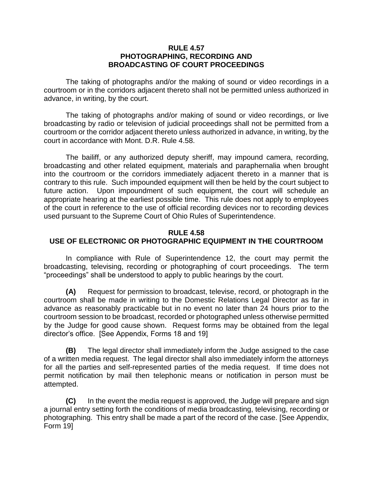### **RULE 4.57 PHOTOGRAPHING, RECORDING AND BROADCASTING OF COURT PROCEEDINGS**

The taking of photographs and/or the making of sound or video recordings in a courtroom or in the corridors adjacent thereto shall not be permitted unless authorized in advance, in writing, by the court.

The taking of photographs and/or making of sound or video recordings, or live broadcasting by radio or television of judicial proceedings shall not be permitted from a courtroom or the corridor adjacent thereto unless authorized in advance, in writing, by the court in accordance with Mont. D.R. Rule 4.58.

The bailiff, or any authorized deputy sheriff, may impound camera, recording, broadcasting and other related equipment, materials and paraphernalia when brought into the courtroom or the corridors immediately adjacent thereto in a manner that is contrary to this rule. Such impounded equipment will then be held by the court subject to future action. Upon impoundment of such equipment, the court will schedule an appropriate hearing at the earliest possible time. This rule does not apply to employees of the court in reference to the use of official recording devices nor to recording devices used pursuant to the Supreme Court of Ohio Rules of Superintendence.

#### **RULE 4.58 USE OF ELECTRONIC OR PHOTOGRAPHIC EQUIPMENT IN THE COURTROOM**

In compliance with Rule of Superintendence 12, the court may permit the broadcasting, televising, recording or photographing of court proceedings. The term "proceedings" shall be understood to apply to public hearings by the court.

**(A)** Request for permission to broadcast, televise, record, or photograph in the courtroom shall be made in writing to the Domestic Relations Legal Director as far in advance as reasonably practicable but in no event no later than 24 hours prior to the courtroom session to be broadcast, recorded or photographed unless otherwise permitted by the Judge for good cause shown. Request forms may be obtained from the legal director's office. [See Appendix, Forms 18 and 19]

**(B)** The legal director shall immediately inform the Judge assigned to the case of a written media request. The legal director shall also immediately inform the attorneys for all the parties and self-represented parties of the media request. If time does not permit notification by mail then telephonic means or notification in person must be attempted.

**(C)** In the event the media request is approved, the Judge will prepare and sign a journal entry setting forth the conditions of media broadcasting, televising, recording or photographing. This entry shall be made a part of the record of the case. [See Appendix, Form 19]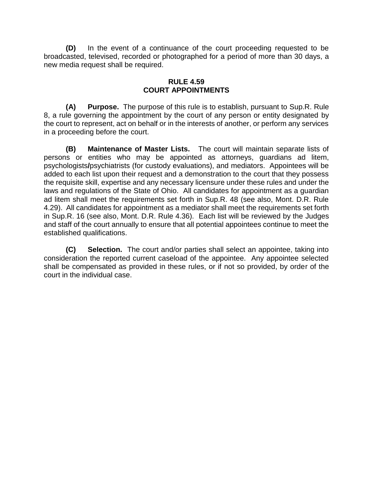**(D)** In the event of a continuance of the court proceeding requested to be broadcasted, televised, recorded or photographed for a period of more than 30 days, a new media request shall be required.

## **RULE 4.59 COURT APPOINTMENTS**

**(A) Purpose.** The purpose of this rule is to establish, pursuant to Sup.R. Rule 8, a rule governing the appointment by the court of any person or entity designated by the court to represent, act on behalf or in the interests of another, or perform any services in a proceeding before the court.

**(B) Maintenance of Master Lists.** The court will maintain separate lists of persons or entities who may be appointed as attorneys, guardians ad litem, psychologists**/**psychiatrists (for custody evaluations), and mediators. Appointees will be added to each list upon their request and a demonstration to the court that they possess the requisite skill, expertise and any necessary licensure under these rules and under the laws and regulations of the State of Ohio. All candidates for appointment as a guardian ad litem shall meet the requirements set forth in Sup.R. 48 (see also, Mont. D.R. Rule 4.29). All candidates for appointment as a mediator shall meet the requirements set forth in Sup.R. 16 (see also, Mont. D.R. Rule 4.36).Each list will be reviewed by the Judges and staff of the court annually to ensure that all potential appointees continue to meet the established qualifications.

**(C) Selection.** The court and/or parties shall select an appointee, taking into consideration the reported current caseload of the appointee. Any appointee selected shall be compensated as provided in these rules, or if not so provided, by order of the court in the individual case.